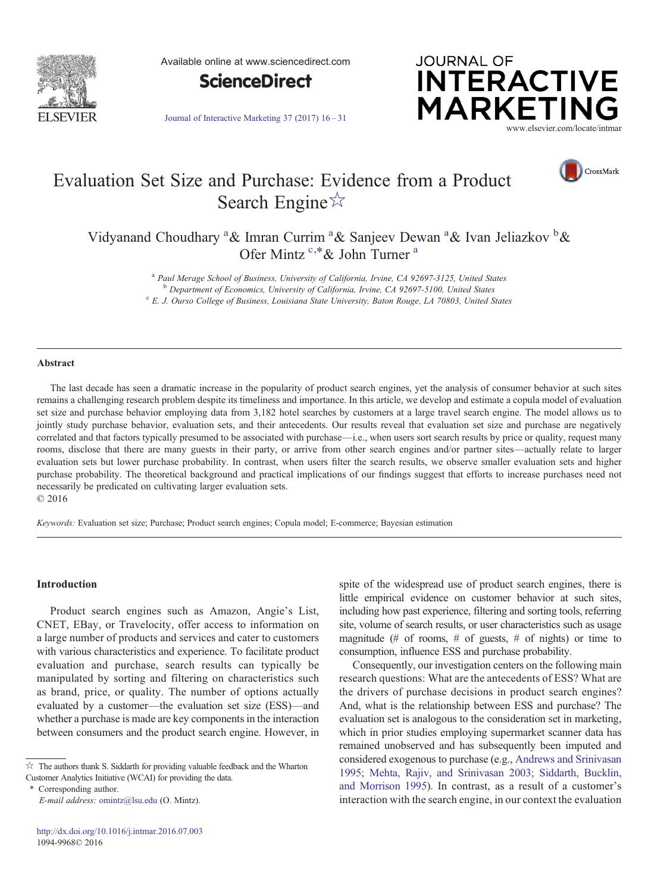

Available online at www.sciencedirect.com



[Journal of Interactive Marketing 37 \(2017\) 16](http://dx.doi.org/10.1016/j.intmar.2016.07.003)–31



CrossMark

# Evaluation Set Size and Purchase: Evidence from a Product Search Engine☆

Vidyanand Choudhary <sup>a</sup> & Imran Currim <sup>a</sup> & Sanjeev Dewan <sup>a</sup> & Ivan Jeliazkov <sup>b</sup> & Ofer Mintz  $c, * \&$  John Turner<sup>a</sup>

<sup>a</sup> Paul Merage School of Business, University of California, Irvine, CA 92697-3125, United States<br><sup>b</sup> Department of Economics, University of California, Irvine, CA 92697-5100, United States

 $\degree$  E. J. Ourso College of Business, Louisiana State University, Baton Rouge, LA 70803, United States

### Abstract

The last decade has seen a dramatic increase in the popularity of product search engines, yet the analysis of consumer behavior at such sites remains a challenging research problem despite its timeliness and importance. In this article, we develop and estimate a copula model of evaluation set size and purchase behavior employing data from 3,182 hotel searches by customers at a large travel search engine. The model allows us to jointly study purchase behavior, evaluation sets, and their antecedents. Our results reveal that evaluation set size and purchase are negatively correlated and that factors typically presumed to be associated with purchase—i.e., when users sort search results by price or quality, request many rooms, disclose that there are many guests in their party, or arrive from other search engines and/or partner sites—actually relate to larger evaluation sets but lower purchase probability. In contrast, when users filter the search results, we observe smaller evaluation sets and higher purchase probability. The theoretical background and practical implications of our findings suggest that efforts to increase purchases need not necessarily be predicated on cultivating larger evaluation sets. © 2016

Keywords: Evaluation set size; Purchase; Product search engines; Copula model; E-commerce; Bayesian estimation

### Introduction

Product search engines such as Amazon, Angie's List, CNET, EBay, or Travelocity, offer access to information on a large number of products and services and cater to customers with various characteristics and experience. To facilitate product evaluation and purchase, search results can typically be manipulated by sorting and filtering on characteristics such as brand, price, or quality. The number of options actually evaluated by a customer—the evaluation set size (ESS)—and whether a purchase is made are key components in the interaction between consumers and the product search engine. However, in

Customer Analytics Initiative (WCAI) for providing the data.

E-mail address: [omintz@lsu.edu](mailto:) (O. Mintz).

spite of the widespread use of product search engines, there is little empirical evidence on customer behavior at such sites, including how past experience, filtering and sorting tools, referring site, volume of search results, or user characteristics such as usage magnitude (# of rooms,  $#$  of guests,  $#$  of nights) or time to consumption, influence ESS and purchase probability.

Consequently, our investigation centers on the following main research questions: What are the antecedents of ESS? What are the drivers of purchase decisions in product search engines? And, what is the relationship between ESS and purchase? The evaluation set is analogous to the consideration set in marketing, which in prior studies employing supermarket scanner data has remained unobserved and has subsequently been imputed and considered exogenous to purchase (e.g., [Andrews and Srinivasan](#page-14-0) [1995; Mehta, Rajiv, and Srinivasan 2003; Siddarth, Bucklin,](#page-14-0) [and Morrison 1995\)](#page-14-0). In contrast, as a result of a customer's interaction with the search engine, in our context the evaluation

 $\mathbb{X}$  The authors thank S. Siddarth for providing valuable feedback and the Wharton

<sup>⁎</sup> Corresponding author.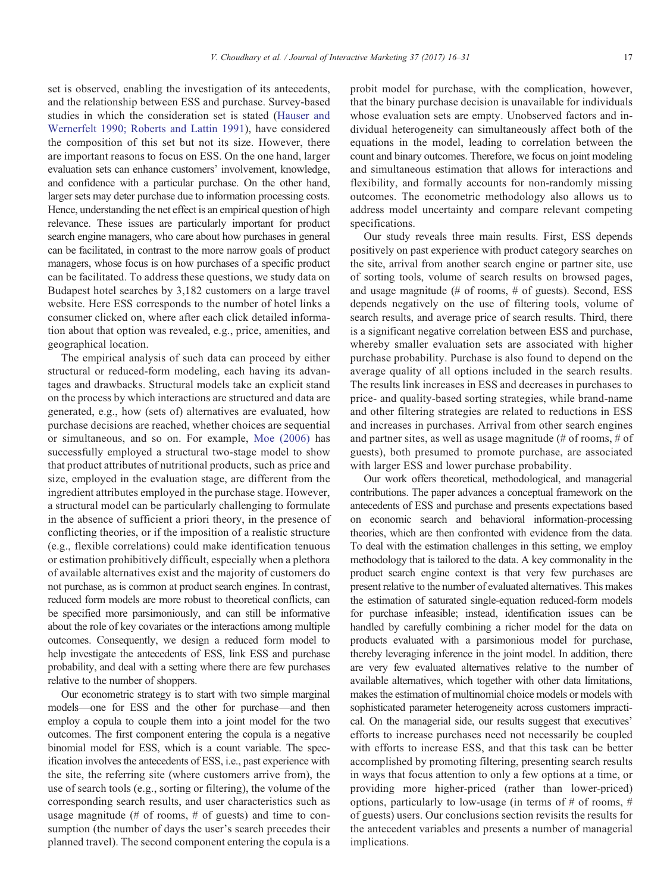set is observed, enabling the investigation of its antecedents, and the relationship between ESS and purchase. Survey-based studies in which the consideration set is stated ([Hauser and](#page-14-0) [Wernerfelt 1990; Roberts and Lattin 1991\)](#page-14-0), have considered the composition of this set but not its size. However, there are important reasons to focus on ESS. On the one hand, larger evaluation sets can enhance customers' involvement, knowledge, and confidence with a particular purchase. On the other hand, larger sets may deter purchase due to information processing costs. Hence, understanding the net effect is an empirical question of high relevance. These issues are particularly important for product search engine managers, who care about how purchases in general can be facilitated, in contrast to the more narrow goals of product managers, whose focus is on how purchases of a specific product can be facilitated. To address these questions, we study data on Budapest hotel searches by 3,182 customers on a large travel website. Here ESS corresponds to the number of hotel links a consumer clicked on, where after each click detailed information about that option was revealed, e.g., price, amenities, and geographical location.

The empirical analysis of such data can proceed by either structural or reduced-form modeling, each having its advantages and drawbacks. Structural models take an explicit stand on the process by which interactions are structured and data are generated, e.g., how (sets of) alternatives are evaluated, how purchase decisions are reached, whether choices are sequential or simultaneous, and so on. For example, [Moe \(2006\)](#page-14-0) has successfully employed a structural two-stage model to show that product attributes of nutritional products, such as price and size, employed in the evaluation stage, are different from the ingredient attributes employed in the purchase stage. However, a structural model can be particularly challenging to formulate in the absence of sufficient a priori theory, in the presence of conflicting theories, or if the imposition of a realistic structure (e.g., flexible correlations) could make identification tenuous or estimation prohibitively difficult, especially when a plethora of available alternatives exist and the majority of customers do not purchase, as is common at product search engines. In contrast, reduced form models are more robust to theoretical conflicts, can be specified more parsimoniously, and can still be informative about the role of key covariates or the interactions among multiple outcomes. Consequently, we design a reduced form model to help investigate the antecedents of ESS, link ESS and purchase probability, and deal with a setting where there are few purchases relative to the number of shoppers.

Our econometric strategy is to start with two simple marginal models—one for ESS and the other for purchase—and then employ a copula to couple them into a joint model for the two outcomes. The first component entering the copula is a negative binomial model for ESS, which is a count variable. The specification involves the antecedents of ESS, i.e., past experience with the site, the referring site (where customers arrive from), the use of search tools (e.g., sorting or filtering), the volume of the corresponding search results, and user characteristics such as usage magnitude (# of rooms, # of guests) and time to consumption (the number of days the user's search precedes their planned travel). The second component entering the copula is a

probit model for purchase, with the complication, however, that the binary purchase decision is unavailable for individuals whose evaluation sets are empty. Unobserved factors and individual heterogeneity can simultaneously affect both of the equations in the model, leading to correlation between the count and binary outcomes. Therefore, we focus on joint modeling and simultaneous estimation that allows for interactions and flexibility, and formally accounts for non-randomly missing outcomes. The econometric methodology also allows us to address model uncertainty and compare relevant competing specifications.

Our study reveals three main results. First, ESS depends positively on past experience with product category searches on the site, arrival from another search engine or partner site, use of sorting tools, volume of search results on browsed pages, and usage magnitude (# of rooms, # of guests). Second, ESS depends negatively on the use of filtering tools, volume of search results, and average price of search results. Third, there is a significant negative correlation between ESS and purchase, whereby smaller evaluation sets are associated with higher purchase probability. Purchase is also found to depend on the average quality of all options included in the search results. The results link increases in ESS and decreases in purchases to price- and quality-based sorting strategies, while brand-name and other filtering strategies are related to reductions in ESS and increases in purchases. Arrival from other search engines and partner sites, as well as usage magnitude (# of rooms, # of guests), both presumed to promote purchase, are associated with larger ESS and lower purchase probability.

Our work offers theoretical, methodological, and managerial contributions. The paper advances a conceptual framework on the antecedents of ESS and purchase and presents expectations based on economic search and behavioral information-processing theories, which are then confronted with evidence from the data. To deal with the estimation challenges in this setting, we employ methodology that is tailored to the data. A key commonality in the product search engine context is that very few purchases are present relative to the number of evaluated alternatives. This makes the estimation of saturated single-equation reduced-form models for purchase infeasible; instead, identification issues can be handled by carefully combining a richer model for the data on products evaluated with a parsimonious model for purchase, thereby leveraging inference in the joint model. In addition, there are very few evaluated alternatives relative to the number of available alternatives, which together with other data limitations, makes the estimation of multinomial choice models or models with sophisticated parameter heterogeneity across customers impractical. On the managerial side, our results suggest that executives' efforts to increase purchases need not necessarily be coupled with efforts to increase ESS, and that this task can be better accomplished by promoting filtering, presenting search results in ways that focus attention to only a few options at a time, or providing more higher-priced (rather than lower-priced) options, particularly to low-usage (in terms of  $#$  of rooms,  $#$ of guests) users. Our conclusions section revisits the results for the antecedent variables and presents a number of managerial implications.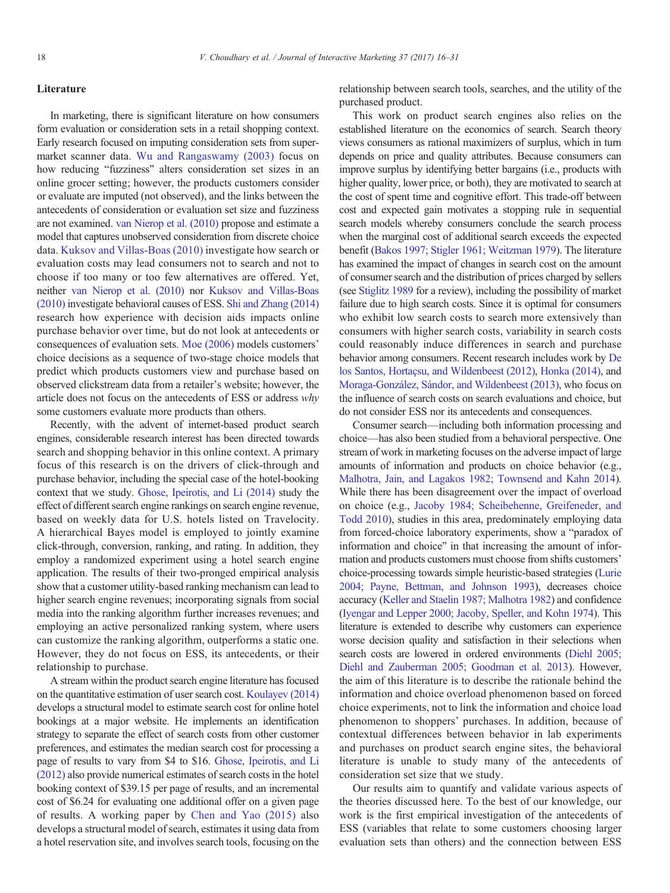### Literature

In marketing, there is significant literature on how consumers form evaluation or consideration sets in a retail shopping context. Early research focused on imputing consideration sets from supermarket scanner data. [Wu and Rangaswamy \(2003\)](#page-15-0) focus on how reducing "fuzziness" alters consideration set sizes in an online grocer setting; however, the products customers consider or evaluate are imputed (not observed), and the links between the antecedents of consideration or evaluation set size and fuzziness are not examined. [van Nierop et al. \(2010\)](#page-15-0) propose and estimate a model that captures unobserved consideration from discrete choice data. [Kuksov and Villas-Boas \(2010\)](#page-14-0) investigate how search or evaluation costs may lead consumers not to search and not to choose if too many or too few alternatives are offered. Yet, neither [van Nierop et al. \(2010\)](#page-15-0) nor [Kuksov and Villas-Boas](#page-14-0) [\(2010\)](#page-14-0) investigate behavioral causes of ESS. [Shi and Zhang \(2014\)](#page-15-0) research how experience with decision aids impacts online purchase behavior over time, but do not look at antecedents or consequences of evaluation sets. [Moe \(2006\)](#page-14-0) models customers' choice decisions as a sequence of two-stage choice models that predict which products customers view and purchase based on observed clickstream data from a retailer's website; however, the article does not focus on the antecedents of ESS or address why some customers evaluate more products than others.

Recently, with the advent of internet-based product search engines, considerable research interest has been directed towards search and shopping behavior in this online context. A primary focus of this research is on the drivers of click-through and purchase behavior, including the special case of the hotel-booking context that we study. [Ghose, Ipeirotis, and Li \(2014\)](#page-14-0) study the effect of different search engine rankings on search engine revenue, based on weekly data for U.S. hotels listed on Travelocity. A hierarchical Bayes model is employed to jointly examine click-through, conversion, ranking, and rating. In addition, they employ a randomized experiment using a hotel search engine application. The results of their two-pronged empirical analysis show that a customer utility-based ranking mechanism can lead to higher search engine revenues; incorporating signals from social media into the ranking algorithm further increases revenues; and employing an active personalized ranking system, where users can customize the ranking algorithm, outperforms a static one. However, they do not focus on ESS, its antecedents, or their relationship to purchase.

A stream within the product search engine literature has focused on the quantitative estimation of user search cost. [Koulayev \(2014\)](#page-14-0) develops a structural model to estimate search cost for online hotel bookings at a major website. He implements an identification strategy to separate the effect of search costs from other customer preferences, and estimates the median search cost for processing a page of results to vary from \$4 to \$16. [Ghose, Ipeirotis, and Li](#page-14-0) [\(2012\)](#page-14-0) also provide numerical estimates of search costs in the hotel booking context of \$39.15 per page of results, and an incremental cost of \$6.24 for evaluating one additional offer on a given page of results. A working paper by [Chen and Yao \(2015\)](#page-14-0) also develops a structural model of search, estimates it using data from a hotel reservation site, and involves search tools, focusing on the

relationship between search tools, searches, and the utility of the purchased product.

This work on product search engines also relies on the established literature on the economics of search. Search theory views consumers as rational maximizers of surplus, which in turn depends on price and quality attributes. Because consumers can improve surplus by identifying better bargains (i.e., products with higher quality, lower price, or both), they are motivated to search at the cost of spent time and cognitive effort. This trade-off between cost and expected gain motivates a stopping rule in sequential search models whereby consumers conclude the search process when the marginal cost of additional search exceeds the expected benefit [\(Bakos 1997; Stigler 1961; Weitzman 1979\)](#page-14-0). The literature has examined the impact of changes in search cost on the amount of consumer search and the distribution of prices charged by sellers (see [Stiglitz 1989](#page-15-0) for a review), including the possibility of market failure due to high search costs. Since it is optimal for consumers who exhibit low search costs to search more extensively than consumers with higher search costs, variability in search costs could reasonably induce differences in search and purchase behavior among consumers. Recent research includes work by [De](#page-14-0) [los Santos, Hortaçsu, and Wildenbeest \(2012\),](#page-14-0) [Honka \(2014\),](#page-14-0) and [Moraga-González, Sándor, and Wildenbeest \(2013\),](#page-15-0) who focus on the influence of search costs on search evaluations and choice, but do not consider ESS nor its antecedents and consequences.

Consumer search—including both information processing and choice—has also been studied from a behavioral perspective. One stream of work in marketing focuses on the adverse impact of large amounts of information and products on choice behavior (e.g., [Malhotra, Jain, and Lagakos 1982; Townsend and Kahn 2014](#page-14-0)). While there has been disagreement over the impact of overload on choice (e.g., [Jacoby 1984; Scheibehenne, Greifeneder, and](#page-14-0) [Todd 2010](#page-14-0)), studies in this area, predominately employing data from forced-choice laboratory experiments, show a "paradox of information and choice" in that increasing the amount of information and products customers must choose from shifts customers' choice-processing towards simple heuristic-based strategies [\(Lurie](#page-14-0) [2004; Payne, Bettman, and Johnson 1993](#page-14-0)), decreases choice accuracy [\(Keller and Staelin 1987; Malhotra 1982](#page-14-0)) and confidence ([Iyengar and Lepper 2000; Jacoby, Speller, and Kohn 1974\)](#page-14-0). This literature is extended to describe why customers can experience worse decision quality and satisfaction in their selections when search costs are lowered in ordered environments ([Diehl 2005;](#page-14-0) [Diehl and Zauberman 2005; Goodman et al. 2013\)](#page-14-0). However, the aim of this literature is to describe the rationale behind the information and choice overload phenomenon based on forced choice experiments, not to link the information and choice load phenomenon to shoppers' purchases. In addition, because of contextual differences between behavior in lab experiments and purchases on product search engine sites, the behavioral literature is unable to study many of the antecedents of consideration set size that we study.

Our results aim to quantify and validate various aspects of the theories discussed here. To the best of our knowledge, our work is the first empirical investigation of the antecedents of ESS (variables that relate to some customers choosing larger evaluation sets than others) and the connection between ESS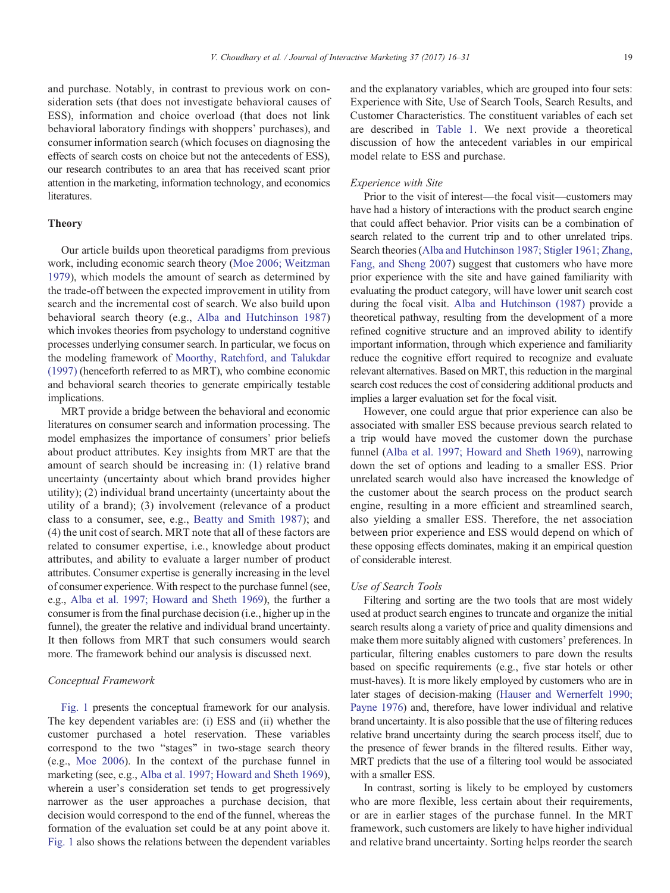and purchase. Notably, in contrast to previous work on consideration sets (that does not investigate behavioral causes of ESS), information and choice overload (that does not link behavioral laboratory findings with shoppers' purchases), and consumer information search (which focuses on diagnosing the effects of search costs on choice but not the antecedents of ESS), our research contributes to an area that has received scant prior attention in the marketing, information technology, and economics literatures.

# Theory

Our article builds upon theoretical paradigms from previous work, including economic search theory [\(Moe 2006; Weitzman](#page-14-0) [1979](#page-14-0)), which models the amount of search as determined by the trade-off between the expected improvement in utility from search and the incremental cost of search. We also build upon behavioral search theory (e.g., [Alba and Hutchinson 1987](#page-14-0)) which invokes theories from psychology to understand cognitive processes underlying consumer search. In particular, we focus on the modeling framework of [Moorthy, Ratchford, and Talukdar](#page-14-0) [\(1997\)](#page-14-0) (henceforth referred to as MRT), who combine economic and behavioral search theories to generate empirically testable implications.

MRT provide a bridge between the behavioral and economic literatures on consumer search and information processing. The model emphasizes the importance of consumers' prior beliefs about product attributes. Key insights from MRT are that the amount of search should be increasing in: (1) relative brand uncertainty (uncertainty about which brand provides higher utility); (2) individual brand uncertainty (uncertainty about the utility of a brand); (3) involvement (relevance of a product class to a consumer, see, e.g., [Beatty and Smith 1987](#page-14-0)); and (4) the unit cost of search. MRT note that all of these factors are related to consumer expertise, i.e., knowledge about product attributes, and ability to evaluate a larger number of product attributes. Consumer expertise is generally increasing in the level of consumer experience. With respect to the purchase funnel (see, e.g., [Alba et al. 1997; Howard and Sheth 1969](#page-14-0)), the further a consumer is from the final purchase decision (i.e., higher up in the funnel), the greater the relative and individual brand uncertainty. It then follows from MRT that such consumers would search more. The framework behind our analysis is discussed next.

#### Conceptual Framework

[Fig. 1](#page-4-0) presents the conceptual framework for our analysis. The key dependent variables are: (i) ESS and (ii) whether the customer purchased a hotel reservation. These variables correspond to the two "stages" in two-stage search theory (e.g., [Moe 2006\)](#page-14-0). In the context of the purchase funnel in marketing (see, e.g., [Alba et al. 1997; Howard and Sheth 1969\)](#page-14-0), wherein a user's consideration set tends to get progressively narrower as the user approaches a purchase decision, that decision would correspond to the end of the funnel, whereas the formation of the evaluation set could be at any point above it. [Fig. 1](#page-4-0) also shows the relations between the dependent variables and the explanatory variables, which are grouped into four sets: Experience with Site, Use of Search Tools, Search Results, and Customer Characteristics. The constituent variables of each set are described in [Table 1.](#page-5-0) We next provide a theoretical discussion of how the antecedent variables in our empirical model relate to ESS and purchase.

### Experience with Site

Prior to the visit of interest—the focal visit—customers may have had a history of interactions with the product search engine that could affect behavior. Prior visits can be a combination of search related to the current trip and to other unrelated trips. Search theories [\(Alba and Hutchinson 1987; Stigler 1961; Zhang,](#page-14-0) [Fang, and Sheng 2007](#page-14-0)) suggest that customers who have more prior experience with the site and have gained familiarity with evaluating the product category, will have lower unit search cost during the focal visit. [Alba and Hutchinson \(1987\)](#page-14-0) provide a theoretical pathway, resulting from the development of a more refined cognitive structure and an improved ability to identify important information, through which experience and familiarity reduce the cognitive effort required to recognize and evaluate relevant alternatives. Based on MRT, this reduction in the marginal search cost reduces the cost of considering additional products and implies a larger evaluation set for the focal visit.

However, one could argue that prior experience can also be associated with smaller ESS because previous search related to a trip would have moved the customer down the purchase funnel [\(Alba et al. 1997; Howard and Sheth 1969](#page-14-0)), narrowing down the set of options and leading to a smaller ESS. Prior unrelated search would also have increased the knowledge of the customer about the search process on the product search engine, resulting in a more efficient and streamlined search, also yielding a smaller ESS. Therefore, the net association between prior experience and ESS would depend on which of these opposing effects dominates, making it an empirical question of considerable interest.

### Use of Search Tools

Filtering and sorting are the two tools that are most widely used at product search engines to truncate and organize the initial search results along a variety of price and quality dimensions and make them more suitably aligned with customers' preferences. In particular, filtering enables customers to pare down the results based on specific requirements (e.g., five star hotels or other must-haves). It is more likely employed by customers who are in later stages of decision-making ([Hauser and Wernerfelt 1990;](#page-14-0) [Payne 1976](#page-14-0)) and, therefore, have lower individual and relative brand uncertainty. It is also possible that the use of filtering reduces relative brand uncertainty during the search process itself, due to the presence of fewer brands in the filtered results. Either way, MRT predicts that the use of a filtering tool would be associated with a smaller ESS.

In contrast, sorting is likely to be employed by customers who are more flexible, less certain about their requirements, or are in earlier stages of the purchase funnel. In the MRT framework, such customers are likely to have higher individual and relative brand uncertainty. Sorting helps reorder the search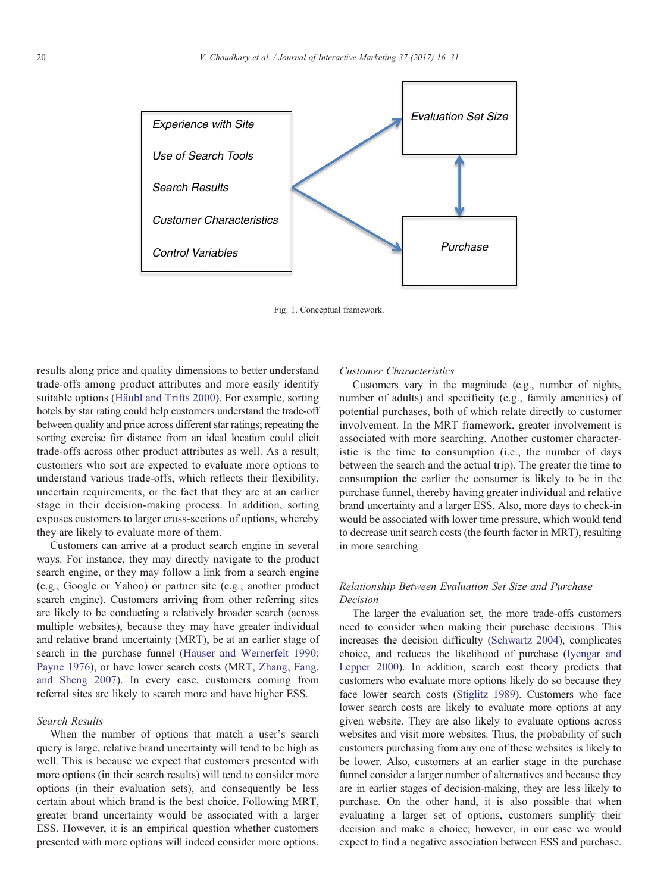<span id="page-4-0"></span>

Fig. 1. Conceptual framework.

results along price and quality dimensions to better understand trade-offs among product attributes and more easily identify suitable options [\(Häubl and Trifts 2000\)](#page-14-0). For example, sorting hotels by star rating could help customers understand the trade-off between quality and price across different star ratings; repeating the sorting exercise for distance from an ideal location could elicit trade-offs across other product attributes as well. As a result, customers who sort are expected to evaluate more options to understand various trade-offs, which reflects their flexibility, uncertain requirements, or the fact that they are at an earlier stage in their decision-making process. In addition, sorting exposes customers to larger cross-sections of options, whereby they are likely to evaluate more of them.

Customers can arrive at a product search engine in several ways. For instance, they may directly navigate to the product search engine, or they may follow a link from a search engine (e.g., Google or Yahoo) or partner site (e.g., another product search engine). Customers arriving from other referring sites are likely to be conducting a relatively broader search (across multiple websites), because they may have greater individual and relative brand uncertainty (MRT), be at an earlier stage of search in the purchase funnel [\(Hauser and Wernerfelt 1990;](#page-14-0) [Payne 1976](#page-14-0)), or have lower search costs (MRT, [Zhang, Fang,](#page-15-0) [and Sheng 2007\)](#page-15-0). In every case, customers coming from referral sites are likely to search more and have higher ESS.

# Search Results

When the number of options that match a user's search query is large, relative brand uncertainty will tend to be high as well. This is because we expect that customers presented with more options (in their search results) will tend to consider more options (in their evaluation sets), and consequently be less certain about which brand is the best choice. Following MRT, greater brand uncertainty would be associated with a larger ESS. However, it is an empirical question whether customers presented with more options will indeed consider more options.

# Customer Characteristics

Customers vary in the magnitude (e.g., number of nights, number of adults) and specificity (e.g., family amenities) of potential purchases, both of which relate directly to customer involvement. In the MRT framework, greater involvement is associated with more searching. Another customer characteristic is the time to consumption (i.e., the number of days between the search and the actual trip). The greater the time to consumption the earlier the consumer is likely to be in the purchase funnel, thereby having greater individual and relative brand uncertainty and a larger ESS. Also, more days to check-in would be associated with lower time pressure, which would tend to decrease unit search costs (the fourth factor in MRT), resulting in more searching.

# Relationship Between Evaluation Set Size and Purchase Decision

The larger the evaluation set, the more trade-offs customers need to consider when making their purchase decisions. This increases the decision difficulty ([Schwartz 2004\)](#page-15-0), complicates choice, and reduces the likelihood of purchase [\(Iyengar and](#page-14-0) [Lepper 2000\)](#page-14-0). In addition, search cost theory predicts that customers who evaluate more options likely do so because they face lower search costs [\(Stiglitz 1989](#page-15-0)). Customers who face lower search costs are likely to evaluate more options at any given website. They are also likely to evaluate options across websites and visit more websites. Thus, the probability of such customers purchasing from any one of these websites is likely to be lower. Also, customers at an earlier stage in the purchase funnel consider a larger number of alternatives and because they are in earlier stages of decision-making, they are less likely to purchase. On the other hand, it is also possible that when evaluating a larger set of options, customers simplify their decision and make a choice; however, in our case we would expect to find a negative association between ESS and purchase.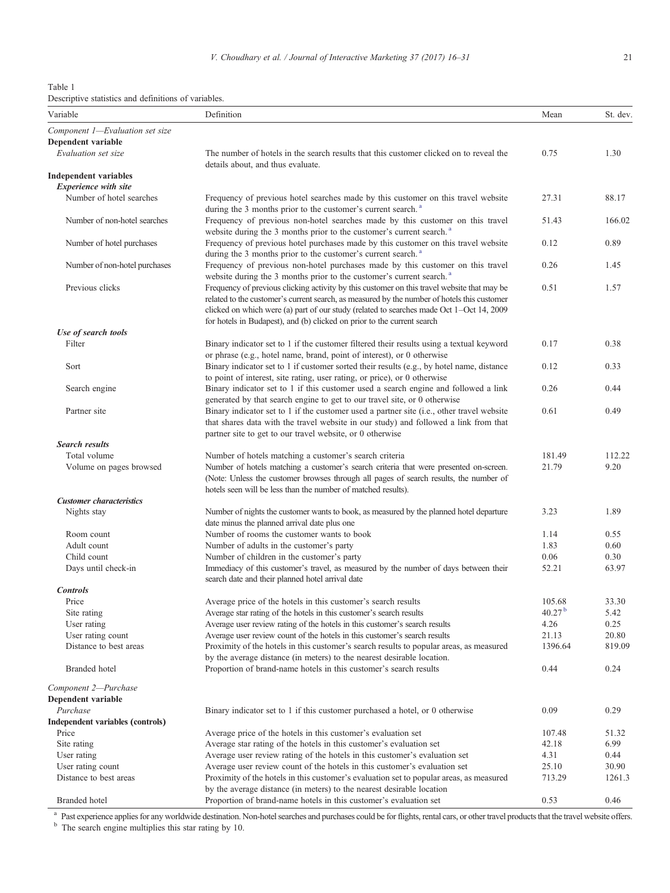<span id="page-5-0"></span>

| Table 1                                              |  |  |  |
|------------------------------------------------------|--|--|--|
| Descriptive statistics and definitions of variables. |  |  |  |

| Variable                                                    | Definition                                                                                                                                                                                                                                                                                                                                                        | Mean               | St. dev. |
|-------------------------------------------------------------|-------------------------------------------------------------------------------------------------------------------------------------------------------------------------------------------------------------------------------------------------------------------------------------------------------------------------------------------------------------------|--------------------|----------|
| Component 1-Evaluation set size<br>Dependent variable       |                                                                                                                                                                                                                                                                                                                                                                   |                    |          |
| Evaluation set size                                         | The number of hotels in the search results that this customer clicked on to reveal the<br>details about, and thus evaluate.                                                                                                                                                                                                                                       | 0.75               | 1.30     |
| <b>Independent variables</b><br><b>Experience with site</b> |                                                                                                                                                                                                                                                                                                                                                                   |                    |          |
| Number of hotel searches                                    | Frequency of previous hotel searches made by this customer on this travel website<br>during the 3 months prior to the customer's current search. <sup>a</sup>                                                                                                                                                                                                     | 27.31              | 88.17    |
| Number of non-hotel searches                                | Frequency of previous non-hotel searches made by this customer on this travel<br>website during the 3 months prior to the customer's current search. <sup>a</sup>                                                                                                                                                                                                 | 51.43              | 166.02   |
| Number of hotel purchases                                   | Frequency of previous hotel purchases made by this customer on this travel website<br>during the 3 months prior to the customer's current search. <sup>a</sup>                                                                                                                                                                                                    | 0.12               | 0.89     |
| Number of non-hotel purchases                               | Frequency of previous non-hotel purchases made by this customer on this travel<br>website during the 3 months prior to the customer's current search. <sup>a</sup>                                                                                                                                                                                                | 0.26               | 1.45     |
| Previous clicks                                             | Frequency of previous clicking activity by this customer on this travel website that may be<br>related to the customer's current search, as measured by the number of hotels this customer<br>clicked on which were (a) part of our study (related to searches made Oct 1-Oct 14, 2009<br>for hotels in Budapest), and (b) clicked on prior to the current search | 0.51               | 1.57     |
| Use of search tools                                         |                                                                                                                                                                                                                                                                                                                                                                   |                    |          |
| Filter                                                      | Binary indicator set to 1 if the customer filtered their results using a textual keyword<br>or phrase (e.g., hotel name, brand, point of interest), or 0 otherwise                                                                                                                                                                                                | 0.17               | 0.38     |
| Sort                                                        | Binary indicator set to 1 if customer sorted their results (e.g., by hotel name, distance<br>to point of interest, site rating, user rating, or price), or 0 otherwise                                                                                                                                                                                            | 0.12               | 0.33     |
| Search engine                                               | Binary indicator set to 1 if this customer used a search engine and followed a link<br>generated by that search engine to get to our travel site, or 0 otherwise                                                                                                                                                                                                  | 0.26               | 0.44     |
| Partner site                                                | Binary indicator set to 1 if the customer used a partner site (i.e., other travel website<br>that shares data with the travel website in our study) and followed a link from that<br>partner site to get to our travel website, or 0 otherwise                                                                                                                    | 0.61               | 0.49     |
| <b>Search results</b>                                       |                                                                                                                                                                                                                                                                                                                                                                   |                    |          |
| Total volume                                                | Number of hotels matching a customer's search criteria                                                                                                                                                                                                                                                                                                            | 181.49             | 112.22   |
| Volume on pages browsed                                     | Number of hotels matching a customer's search criteria that were presented on-screen.<br>(Note: Unless the customer browses through all pages of search results, the number of<br>hotels seen will be less than the number of matched results).                                                                                                                   | 21.79              | 9.20     |
| <b>Customer</b> characteristics                             |                                                                                                                                                                                                                                                                                                                                                                   |                    |          |
| Nights stay                                                 | Number of nights the customer wants to book, as measured by the planned hotel departure<br>date minus the planned arrival date plus one                                                                                                                                                                                                                           | 3.23               | 1.89     |
| Room count                                                  | Number of rooms the customer wants to book                                                                                                                                                                                                                                                                                                                        | 1.14               | 0.55     |
| Adult count                                                 | Number of adults in the customer's party                                                                                                                                                                                                                                                                                                                          | 1.83               | 0.60     |
| Child count                                                 | Number of children in the customer's party                                                                                                                                                                                                                                                                                                                        | 0.06               | 0.30     |
| Days until check-in                                         | Immediacy of this customer's travel, as measured by the number of days between their<br>search date and their planned hotel arrival date                                                                                                                                                                                                                          | 52.21              | 63.97    |
| <b>Controls</b>                                             |                                                                                                                                                                                                                                                                                                                                                                   |                    |          |
| Price                                                       | Average price of the hotels in this customer's search results                                                                                                                                                                                                                                                                                                     | 105.68             | 33.30    |
| Site rating                                                 | Average star rating of the hotels in this customer's search results                                                                                                                                                                                                                                                                                               | 40.27 <sup>b</sup> | 5.42     |
| User rating                                                 | Average user review rating of the hotels in this customer's search results                                                                                                                                                                                                                                                                                        | 4.26               | 0.25     |
| User rating count                                           | Average user review count of the hotels in this customer's search results                                                                                                                                                                                                                                                                                         | 21.13              | 20.80    |
| Distance to best areas                                      | Proximity of the hotels in this customer's search results to popular areas, as measured<br>by the average distance (in meters) to the nearest desirable location.                                                                                                                                                                                                 | 1396.64            | 819.09   |
| Branded hotel                                               | Proportion of brand-name hotels in this customer's search results                                                                                                                                                                                                                                                                                                 | 0.44               | 0.24     |
| Component 2-Purchase                                        |                                                                                                                                                                                                                                                                                                                                                                   |                    |          |
| Dependent variable                                          |                                                                                                                                                                                                                                                                                                                                                                   |                    |          |
| Purchase                                                    | Binary indicator set to 1 if this customer purchased a hotel, or 0 otherwise                                                                                                                                                                                                                                                                                      | 0.09               | 0.29     |
| Independent variables (controls)                            |                                                                                                                                                                                                                                                                                                                                                                   |                    |          |
| Price                                                       | Average price of the hotels in this customer's evaluation set                                                                                                                                                                                                                                                                                                     | 107.48             | 51.32    |
| Site rating                                                 | Average star rating of the hotels in this customer's evaluation set                                                                                                                                                                                                                                                                                               | 42.18              | 6.99     |
| User rating                                                 | Average user review rating of the hotels in this customer's evaluation set                                                                                                                                                                                                                                                                                        | 4.31               | 0.44     |
| User rating count                                           | Average user review count of the hotels in this customer's evaluation set                                                                                                                                                                                                                                                                                         | 25.10              | 30.90    |
| Distance to best areas                                      | Proximity of the hotels in this customer's evaluation set to popular areas, as measured                                                                                                                                                                                                                                                                           | 713.29             | 1261.3   |
| Branded hotel                                               | by the average distance (in meters) to the nearest desirable location<br>Proportion of brand-name hotels in this customer's evaluation set                                                                                                                                                                                                                        | 0.53               | 0.46     |

<sup>a</sup> Past experience applies for any worldwide destination. Non-hotel searches and purchases could be for flights, rental cars, or other travel products that the travel website offers.

<sup>b</sup> The search engine multiplies this star rating by 10.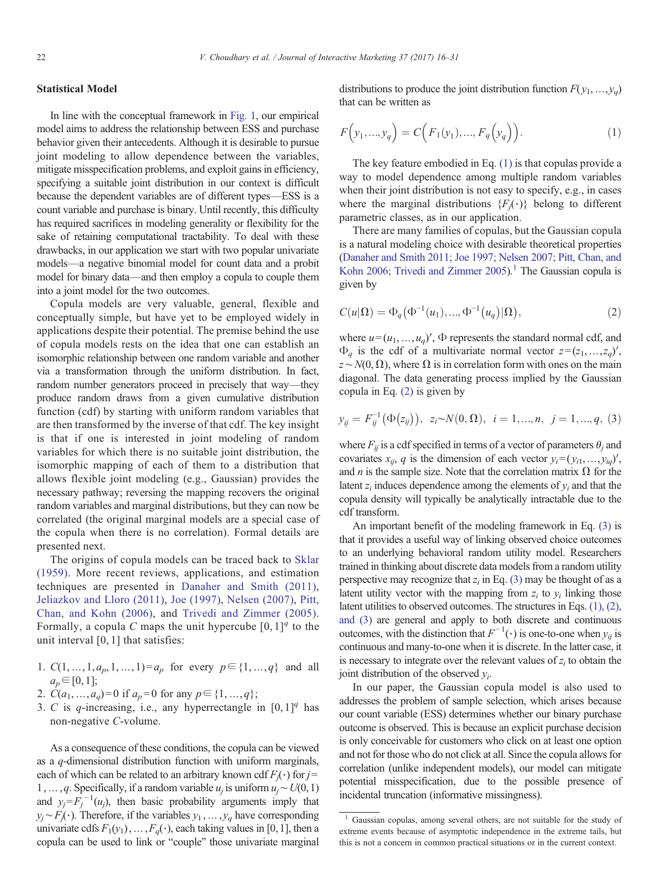### <span id="page-6-0"></span>Statistical Model

In line with the conceptual framework in [Fig. 1](#page-4-0), our empirical model aims to address the relationship between ESS and purchase behavior given their antecedents. Although it is desirable to pursue joint modeling to allow dependence between the variables, mitigate misspecification problems, and exploit gains in efficiency, specifying a suitable joint distribution in our context is difficult because the dependent variables are of different types—ESS is a count variable and purchase is binary. Until recently, this difficulty has required sacrifices in modeling generality or flexibility for the sake of retaining computational tractability. To deal with these drawbacks, in our application we start with two popular univariate models—a negative binomial model for count data and a probit model for binary data—and then employ a copula to couple them into a joint model for the two outcomes.

Copula models are very valuable, general, flexible and conceptually simple, but have yet to be employed widely in applications despite their potential. The premise behind the use of copula models rests on the idea that one can establish an isomorphic relationship between one random variable and another via a transformation through the uniform distribution. In fact, random number generators proceed in precisely that way—they produce random draws from a given cumulative distribution function (cdf) by starting with uniform random variables that are then transformed by the inverse of that cdf. The key insight is that if one is interested in joint modeling of random variables for which there is no suitable joint distribution, the isomorphic mapping of each of them to a distribution that allows flexible joint modeling (e.g., Gaussian) provides the necessary pathway; reversing the mapping recovers the original random variables and marginal distributions, but they can now be correlated (the original marginal models are a special case of the copula when there is no correlation). Formal details are presented next.

The origins of copula models can be traced back to [Sklar](#page-15-0) [\(1959\)](#page-15-0). More recent reviews, applications, and estimation techniques are presented in [Danaher and Smith \(2011\)](#page-14-0), [Jeliazkov and Lloro \(2011\)](#page-14-0), [Joe \(1997\)](#page-14-0), [Nelsen \(2007\)](#page-15-0), [Pitt,](#page-15-0) [Chan, and Kohn \(2006\),](#page-15-0) and [Trivedi and Zimmer \(2005\)](#page-15-0). Formally, a copula C maps the unit hypercube  $[0, 1]^q$  to the unit interval [0, 1] that satisfies:

- 1.  $C(1, ..., 1, a_p, 1, ..., 1) = a_p$  for every  $p \in \{1, ..., q\}$  and all  $a_p \in [0, 1];$
- 2.  $C(a_1, ..., a_q) = 0$  if  $a_p = 0$  for any  $p \in \{1, ..., q\};$
- 3. C is q-increasing, i.e., any hyperrectangle in  $[0, 1]$ <sup>q</sup> has non-negative C-volume.

As a consequence of these conditions, the copula can be viewed as a q-dimensional distribution function with uniform marginals, each of which can be related to an arbitrary known cdf  $F_j(\cdot)$  for  $j=$ 1, …, q. Specifically, if a random variable  $u_i$  is uniform  $u_i \sim U(0, 1)$ and  $y_j = F_j^{-1}(u_j)$ , then basic probability arguments imply that  $y_j \sim F_j(\cdot)$ . Therefore, if the variables  $y_1, \ldots, y_q$  have corresponding univariate cdfs  $F_1(y_1), \ldots, F_q(\cdot)$ , each taking values in [0, 1], then a copula can be used to link or "couple" those univariate marginal distributions to produce the joint distribution function  $F(y_1, ..., y_q)$ that can be written as

$$
F(y_1, ..., y_q) = C(F_1(y_1), ..., F_q(y_q)).
$$
\n(1)

The key feature embodied in Eq. (1) is that copulas provide a way to model dependence among multiple random variables when their joint distribution is not easy to specify, e.g., in cases where the marginal distributions  ${F_i(\cdot)}$  belong to different parametric classes, as in our application.

There are many families of copulas, but the Gaussian copula is a natural modeling choice with desirable theoretical properties ([Danaher and Smith 2011; Joe 1997; Nelsen 2007; Pitt, Chan, and](#page-14-0) [Kohn 2006; Trivedi and Zimmer 2005\)](#page-14-0).<sup>1</sup> The Gaussian copula is given by

$$
C(u|\Omega) = \Phi_q(\Phi^{-1}(u_1), ..., \Phi^{-1}(u_q)|\Omega), \tag{2}
$$

where  $u = (u_1, ..., u_q)^\prime$ ,  $\Phi$  represents the standard normal cdf, and  $\Phi_q$  is the cdf of a multivariate normal vector  $z = (z_1, \ldots, z_q)$ ',  $z \sim N(0, \Omega)$ , where  $\Omega$  is in correlation form with ones on the main diagonal. The data generating process implied by the Gaussian copula in Eq. (2) is given by

$$
y_{ij} = F_{ij}^{-1}(\Phi(z_{ij})), z_i \sim N(0, \Omega), i = 1, ..., n, j = 1, ..., q, (3)
$$

where  $F_{ii}$  is a cdf specified in terms of a vector of parameters  $\theta_i$  and covariates  $x_{ij}$ , q is the dimension of each vector  $y_i = (y_{i1}, \ldots, y_{iq})'$ , and *n* is the sample size. Note that the correlation matrix  $\Omega$  for the latent  $z_i$  induces dependence among the elements of  $y_i$  and that the copula density will typically be analytically intractable due to the cdf transform.

An important benefit of the modeling framework in Eq. (3) is that it provides a useful way of linking observed choice outcomes to an underlying behavioral random utility model. Researchers trained in thinking about discrete data models from a random utility perspective may recognize that  $z_i$  in Eq. (3) may be thought of as a latent utility vector with the mapping from  $z_i$  to  $y_i$  linking those latent utilities to observed outcomes. The structures in Eqs. (1), (2), and (3) are general and apply to both discrete and continuous outcomes, with the distinction that  $F^{-1}(\cdot)$  is one-to-one when  $y_{ij}$  is continuous and many-to-one when it is discrete. In the latter case, it is necessary to integrate over the relevant values of  $z_i$  to obtain the joint distribution of the observed  $y_i$ .

In our paper, the Gaussian copula model is also used to addresses the problem of sample selection, which arises because our count variable (ESS) determines whether our binary purchase outcome is observed. This is because an explicit purchase decision is only conceivable for customers who click on at least one option and not for those who do not click at all. Since the copula allows for correlation (unlike independent models), our model can mitigate potential misspecification, due to the possible presence of incidental truncation (informative missingness).

<sup>&</sup>lt;sup>1</sup> Gaussian copulas, among several others, are not suitable for the study of extreme events because of asymptotic independence in the extreme tails, but this is not a concern in common practical situations or in the current context.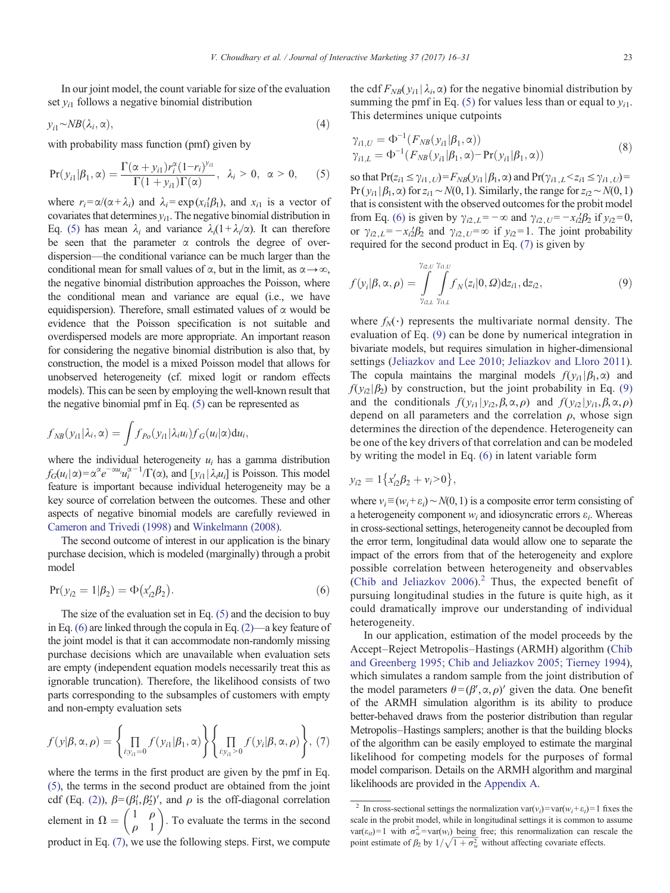In our joint model, the count variable for size of the evaluation set  $y_{i1}$  follows a negative binomial distribution

$$
y_{i1} \sim NB(\lambda_i, \alpha), \tag{4}
$$

with probability mass function (pmf) given by

$$
Pr(y_{i1}|\beta_1, \alpha) = \frac{\Gamma(\alpha + y_{i1})r_i^{\alpha}(1-r_i)^{y_{i1}}}{\Gamma(1+y_{i1})\Gamma(\alpha)}, \ \lambda_i > 0, \ \alpha > 0,
$$
 (5)

where  $r_i = \alpha/(\alpha + \lambda_i)$  and  $\lambda_i = \exp(x_i/\beta_1)$ , and  $x_{i1}$  is a vector of covariates that determines  $y_{i1}$ . The negative binomial distribution in Eq. (5) has mean  $\lambda_i$  and variance  $\lambda_i(1+\lambda_i/\alpha)$ . It can therefore be seen that the parameter  $\alpha$  controls the degree of overdispersion—the conditional variance can be much larger than the conditional mean for small values of  $\alpha$ , but in the limit, as  $\alpha \rightarrow \infty$ , the negative binomial distribution approaches the Poisson, where the conditional mean and variance are equal (i.e., we have equidispersion). Therefore, small estimated values of  $\alpha$  would be evidence that the Poisson specification is not suitable and overdispersed models are more appropriate. An important reason for considering the negative binomial distribution is also that, by construction, the model is a mixed Poisson model that allows for unobserved heterogeneity (cf. mixed logit or random effects models). This can be seen by employing the well-known result that the negative binomial pmf in Eq. (5) can be represented as

$$
f_{NB}(y_{i1}|\lambda_i,\alpha)=\int f_{Po}(y_{i1}|\lambda_i u_i)f_G(u_i|\alpha)du_i,
$$

where the individual heterogeneity  $u_i$  has a gamma distribution  $f_G(u_i|\alpha) = \alpha^{\alpha} e^{-\alpha u_i} u_i^{\alpha-1} / \Gamma(\alpha)$ , and  $[y_i | \lambda_i u_i]$  is Poisson. This model feature is important because individual heterogeneity may be a key source of correlation between the outcomes. These and other aspects of negative binomial models are carefully reviewed in [Cameron and Trivedi \(1998\)](#page-14-0) and [Winkelmann \(2008\)](#page-15-0).

The second outcome of interest in our application is the binary purchase decision, which is modeled (marginally) through a probit model

$$
Pr(y_{i2} = 1 | \beta_2) = \Phi(x'_{i2} \beta_2).
$$
 (6)

The size of the evaluation set in Eq. (5) and the decision to buy in Eq. (6) are linked through the copula in Eq. [\(2\)](#page-6-0)—a key feature of the joint model is that it can accommodate non-randomly missing purchase decisions which are unavailable when evaluation sets are empty (independent equation models necessarily treat this as ignorable truncation). Therefore, the likelihood consists of two parts corresponding to the subsamples of customers with empty and non-empty evaluation sets

$$
f(y|\beta,\alpha,\rho) = \left\{\prod_{i:y_{i1}=0} f(y_{i1}|\beta_1,\alpha)\right\} \left\{\prod_{i:y_{i1}>0} f(y_i|\beta,\alpha,\rho)\right\},\tag{7}
$$

where the terms in the first product are given by the pmf in Eq. (5), the terms in the second product are obtained from the joint cdf (Eq. [\(2\)\)](#page-6-0),  $\beta = (\beta_1', \beta_2')'$ , and  $\rho$  is the off-diagonal correlation element in  $\Omega = \begin{pmatrix} 1 & \rho \\ \rho & 1 \end{pmatrix}$ . To evaluate the terms in the second product in Eq. (7), we use the following steps. First, we compute

the cdf  $F_{NB}(y_{i1} | \lambda_i, \alpha)$  for the negative binomial distribution by summing the pmf in Eq. (5) for values less than or equal to  $y_{i1}$ . This determines unique cutpoints

$$
\gamma_{i1,U} = \Phi^{-1}(F_{NB}(y_{i1}|\beta_1, \alpha)) \n\gamma_{i1,L} = \Phi^{-1}(F_{NB}(y_{i1}|\beta_1, \alpha) - \Pr(y_{i1}|\beta_1, \alpha))
$$
\n(8)

so that  $Pr(z_{i1} \leq \gamma_{i1}, U) = F_{NB}(y_{i1} | \beta_1, \alpha)$  and  $Pr(\gamma_{i1}, L \leq z_{i1} \leq \gamma_{i1}, U) =$ Pr ( $y_{i1} | \beta_1, \alpha$ ) for  $z_{i1} \sim N(0, 1)$ . Similarly, the range for  $z_{i2} \sim N(0, 1)$ that is consistent with the observed outcomes for the probit model from Eq. (6) is given by  $\gamma_{i2,L} = -\infty$  and  $\gamma_{i2,U} = -x_i/2\beta_2$  if  $y_{i2} = 0$ , or  $\gamma_{i2,L} = -x_{i2}'\beta_2$  and  $\gamma_{i2,U} = \infty$  if  $y_{i2} = 1$ . The joint probability required for the second product in Eq. (7) is given by

$$
f(y_i|\beta,\alpha,\rho) = \int_{\gamma_{\alpha,L}}^{\gamma_{\alpha,U}} \int_{\gamma_{\alpha,L}}^{\gamma_{\alpha,U}} f_N(z_i|0,\Omega) dz_{i1}, dz_{i2},
$$
\n(9)

where  $f_N(\cdot)$  represents the multivariate normal density. The evaluation of Eq. (9) can be done by numerical integration in bivariate models, but requires simulation in higher-dimensional settings ([Jeliazkov and Lee 2010; Jeliazkov and Lloro 2011\)](#page-14-0). The copula maintains the marginal models  $f(y_{i1} | \beta_1, \alpha)$  and  $f(y_{i2} | \beta_2)$  by construction, but the joint probability in Eq. (9) and the conditionals  $f(y_{i1} | y_{i2}, \beta, \alpha, \rho)$  and  $f(y_{i2} | y_{i1}, \beta, \alpha, \rho)$ depend on all parameters and the correlation  $\rho$ , whose sign determines the direction of the dependence. Heterogeneity can be one of the key drivers of that correlation and can be modeled by writing the model in Eq. (6) in latent variable form

$$
y_{i2} = 1\{x'_{i2}\beta_2 + v_i > 0\},\,
$$

where  $v_i \equiv (w_i + \varepsilon_i) \sim N(0, 1)$  is a composite error term consisting of a heterogeneity component  $w_i$  and idiosyncratic errors  $\varepsilon_i$ . Whereas in cross-sectional settings, heterogeneity cannot be decoupled from the error term, longitudinal data would allow one to separate the impact of the errors from that of the heterogeneity and explore possible correlation between heterogeneity and observables ([Chib and Jeliazkov 2006\)](#page-14-0).<sup>2</sup> Thus, the expected benefit of pursuing longitudinal studies in the future is quite high, as it could dramatically improve our understanding of individual heterogeneity.

In our application, estimation of the model proceeds by the Accept–Reject Metropolis–Hastings (ARMH) algorithm [\(Chib](#page-14-0) [and Greenberg 1995; Chib and Jeliazkov 2005; Tierney 1994\)](#page-14-0), which simulates a random sample from the joint distribution of the model parameters  $\theta = (\beta', \alpha, \rho)'$  given the data. One benefit of the ARMH simulation algorithm is its ability to produce better-behaved draws from the posterior distribution than regular Metropolis–Hastings samplers; another is that the building blocks of the algorithm can be easily employed to estimate the marginal likelihood for competing models for the purposes of formal model comparison. Details on the ARMH algorithm and marginal likelihoods are provided in the [Appendix A.](#page-13-0)

<sup>&</sup>lt;sup>2</sup> In cross-sectional settings the normalization var( $v_i$ ) = var( $w_i + \varepsilon_i$ ) = 1 fixes the scale in the probit model, while in longitudinal settings it is common to assume  $var(\varepsilon_{ii})=1$  with  $\sigma_w^2=var(w_i)$  being free; this renormalization can rescale the point estimate of  $\beta_2$  by  $1/\sqrt{1 + \sigma_w^2}$  without affecting covariate effects.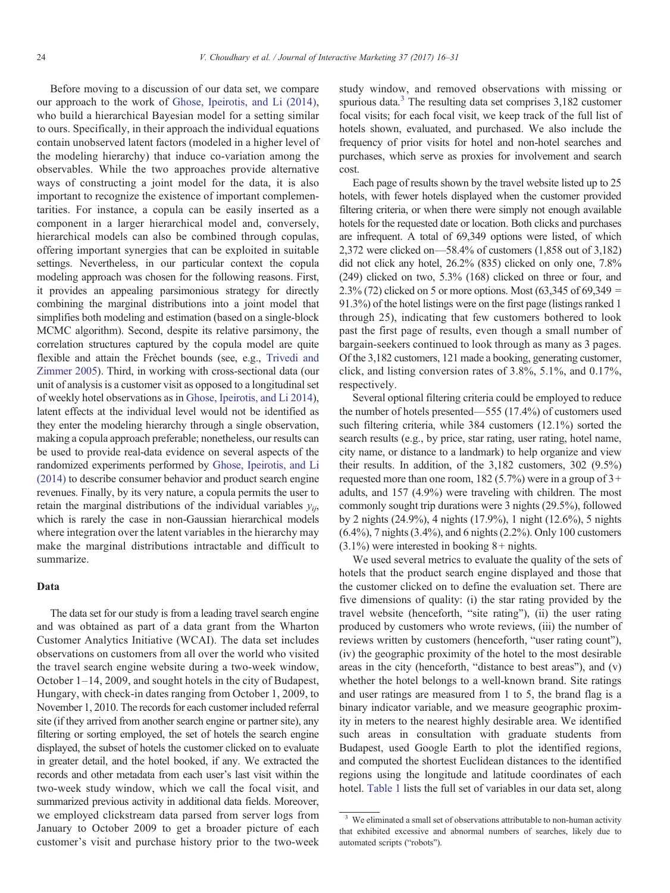Before moving to a discussion of our data set, we compare our approach to the work of [Ghose, Ipeirotis, and Li \(2014\)](#page-14-0), who build a hierarchical Bayesian model for a setting similar to ours. Specifically, in their approach the individual equations contain unobserved latent factors (modeled in a higher level of the modeling hierarchy) that induce co-variation among the observables. While the two approaches provide alternative ways of constructing a joint model for the data, it is also important to recognize the existence of important complementarities. For instance, a copula can be easily inserted as a component in a larger hierarchical model and, conversely, hierarchical models can also be combined through copulas, offering important synergies that can be exploited in suitable settings. Nevertheless, in our particular context the copula modeling approach was chosen for the following reasons. First, it provides an appealing parsimonious strategy for directly combining the marginal distributions into a joint model that simplifies both modeling and estimation (based on a single-block MCMC algorithm). Second, despite its relative parsimony, the correlation structures captured by the copula model are quite flexible and attain the Frèchet bounds (see, e.g., [Trivedi and](#page-15-0) [Zimmer 2005\)](#page-15-0). Third, in working with cross-sectional data (our unit of analysis is a customer visit as opposed to a longitudinal set of weekly hotel observations as in [Ghose, Ipeirotis, and Li 2014](#page-14-0)), latent effects at the individual level would not be identified as they enter the modeling hierarchy through a single observation, making a copula approach preferable; nonetheless, our results can be used to provide real-data evidence on several aspects of the randomized experiments performed by [Ghose, Ipeirotis, and Li](#page-14-0) [\(2014\)](#page-14-0) to describe consumer behavior and product search engine revenues. Finally, by its very nature, a copula permits the user to retain the marginal distributions of the individual variables  $y_{ij}$ , which is rarely the case in non-Gaussian hierarchical models where integration over the latent variables in the hierarchy may make the marginal distributions intractable and difficult to summarize.

# Data

The data set for our study is from a leading travel search engine and was obtained as part of a data grant from the Wharton Customer Analytics Initiative (WCAI). The data set includes observations on customers from all over the world who visited the travel search engine website during a two-week window, October 1–14, 2009, and sought hotels in the city of Budapest, Hungary, with check-in dates ranging from October 1, 2009, to November 1, 2010. The records for each customer included referral site (if they arrived from another search engine or partner site), any filtering or sorting employed, the set of hotels the search engine displayed, the subset of hotels the customer clicked on to evaluate in greater detail, and the hotel booked, if any. We extracted the records and other metadata from each user's last visit within the two-week study window, which we call the focal visit, and summarized previous activity in additional data fields. Moreover, we employed clickstream data parsed from server logs from January to October 2009 to get a broader picture of each customer's visit and purchase history prior to the two-week

study window, and removed observations with missing or spurious data. $3$  The resulting data set comprises  $3,182$  customer focal visits; for each focal visit, we keep track of the full list of hotels shown, evaluated, and purchased. We also include the frequency of prior visits for hotel and non-hotel searches and purchases, which serve as proxies for involvement and search cost.

Each page of results shown by the travel website listed up to 25 hotels, with fewer hotels displayed when the customer provided filtering criteria, or when there were simply not enough available hotels for the requested date or location. Both clicks and purchases are infrequent. A total of 69,349 options were listed, of which 2,372 were clicked on—58.4% of customers (1,858 out of 3,182) did not click any hotel, 26.2% (835) clicked on only one, 7.8% (249) clicked on two, 5.3% (168) clicked on three or four, and 2.3% (72) clicked on 5 or more options. Most  $(63,345)$  of  $69,349 =$ 91.3%) of the hotel listings were on the first page (listings ranked 1 through 25), indicating that few customers bothered to look past the first page of results, even though a small number of bargain-seekers continued to look through as many as 3 pages. Of the 3,182 customers, 121 made a booking, generating customer, click, and listing conversion rates of 3.8%, 5.1%, and 0.17%, respectively.

Several optional filtering criteria could be employed to reduce the number of hotels presented—555 (17.4%) of customers used such filtering criteria, while 384 customers (12.1%) sorted the search results (e.g., by price, star rating, user rating, hotel name, city name, or distance to a landmark) to help organize and view their results. In addition, of the 3,182 customers, 302 (9.5%) requested more than one room, 182 (5.7%) were in a group of  $3+$ adults, and 157 (4.9%) were traveling with children. The most commonly sought trip durations were 3 nights (29.5%), followed by 2 nights (24.9%), 4 nights (17.9%), 1 night (12.6%), 5 nights (6.4%), 7 nights (3.4%), and 6 nights (2.2%). Only 100 customers  $(3.1\%)$  were interested in booking  $8 +$  nights.

We used several metrics to evaluate the quality of the sets of hotels that the product search engine displayed and those that the customer clicked on to define the evaluation set. There are five dimensions of quality: (i) the star rating provided by the travel website (henceforth, "site rating"), (ii) the user rating produced by customers who wrote reviews, (iii) the number of reviews written by customers (henceforth, "user rating count"), (iv) the geographic proximity of the hotel to the most desirable areas in the city (henceforth, "distance to best areas"), and (v) whether the hotel belongs to a well-known brand. Site ratings and user ratings are measured from 1 to 5, the brand flag is a binary indicator variable, and we measure geographic proximity in meters to the nearest highly desirable area. We identified such areas in consultation with graduate students from Budapest, used Google Earth to plot the identified regions, and computed the shortest Euclidean distances to the identified regions using the longitude and latitude coordinates of each hotel. [Table 1](#page-5-0) lists the full set of variables in our data set, along

<sup>&</sup>lt;sup>3</sup> We eliminated a small set of observations attributable to non-human activity that exhibited excessive and abnormal numbers of searches, likely due to automated scripts ("robots").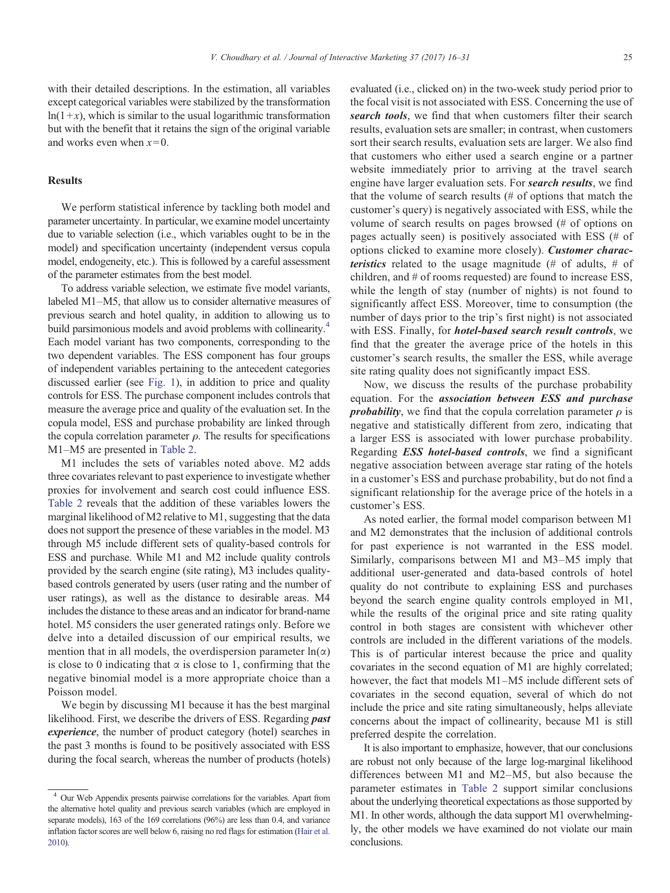with their detailed descriptions. In the estimation, all variables except categorical variables were stabilized by the transformation  $ln(1+x)$ , which is similar to the usual logarithmic transformation but with the benefit that it retains the sign of the original variable and works even when  $x=0$ .

### Results

We perform statistical inference by tackling both model and parameter uncertainty. In particular, we examine model uncertainty due to variable selection (i.e., which variables ought to be in the model) and specification uncertainty (independent versus copula model, endogeneity, etc.). This is followed by a careful assessment of the parameter estimates from the best model.

To address variable selection, we estimate five model variants, labeled M1–M5, that allow us to consider alternative measures of previous search and hotel quality, in addition to allowing us to build parsimonious models and avoid problems with collinearity.<sup>4</sup> Each model variant has two components, corresponding to the two dependent variables. The ESS component has four groups of independent variables pertaining to the antecedent categories discussed earlier (see [Fig. 1](#page-4-0)), in addition to price and quality controls for ESS. The purchase component includes controls that measure the average price and quality of the evaluation set. In the copula model, ESS and purchase probability are linked through the copula correlation parameter  $\rho$ . The results for specifications M1–M5 are presented in [Table 2](#page-10-0).

M1 includes the sets of variables noted above. M2 adds three covariates relevant to past experience to investigate whether proxies for involvement and search cost could influence ESS. [Table 2](#page-10-0) reveals that the addition of these variables lowers the marginal likelihood of M2 relative to M1, suggesting that the data does not support the presence of these variables in the model. M3 through M5 include different sets of quality-based controls for ESS and purchase. While M1 and M2 include quality controls provided by the search engine (site rating), M3 includes qualitybased controls generated by users (user rating and the number of user ratings), as well as the distance to desirable areas. M4 includes the distance to these areas and an indicator for brand-name hotel. M5 considers the user generated ratings only. Before we delve into a detailed discussion of our empirical results, we mention that in all models, the overdispersion parameter  $ln(\alpha)$ is close to 0 indicating that  $\alpha$  is close to 1, confirming that the negative binomial model is a more appropriate choice than a Poisson model.

We begin by discussing M1 because it has the best marginal likelihood. First, we describe the drivers of ESS. Regarding *past* experience, the number of product category (hotel) searches in the past 3 months is found to be positively associated with ESS during the focal search, whereas the number of products (hotels) evaluated (i.e., clicked on) in the two-week study period prior to the focal visit is not associated with ESS. Concerning the use of search tools, we find that when customers filter their search results, evaluation sets are smaller; in contrast, when customers sort their search results, evaluation sets are larger. We also find that customers who either used a search engine or a partner website immediately prior to arriving at the travel search engine have larger evaluation sets. For search results, we find that the volume of search results (# of options that match the customer's query) is negatively associated with ESS, while the volume of search results on pages browsed (# of options on pages actually seen) is positively associated with ESS (# of options clicked to examine more closely). Customer characteristics related to the usage magnitude (# of adults, # of children, and # of rooms requested) are found to increase ESS, while the length of stay (number of nights) is not found to significantly affect ESS. Moreover, time to consumption (the number of days prior to the trip's first night) is not associated with ESS. Finally, for *hotel-based search result controls*, we find that the greater the average price of the hotels in this customer's search results, the smaller the ESS, while average site rating quality does not significantly impact ESS.

Now, we discuss the results of the purchase probability equation. For the association between ESS and purchase *probability*, we find that the copula correlation parameter  $\rho$  is negative and statistically different from zero, indicating that a larger ESS is associated with lower purchase probability. Regarding ESS hotel-based controls, we find a significant negative association between average star rating of the hotels in a customer's ESS and purchase probability, but do not find a significant relationship for the average price of the hotels in a customer's ESS.

As noted earlier, the formal model comparison between M1 and M2 demonstrates that the inclusion of additional controls for past experience is not warranted in the ESS model. Similarly, comparisons between M1 and M3–M5 imply that additional user-generated and data-based controls of hotel quality do not contribute to explaining ESS and purchases beyond the search engine quality controls employed in M1, while the results of the original price and site rating quality control in both stages are consistent with whichever other controls are included in the different variations of the models. This is of particular interest because the price and quality covariates in the second equation of M1 are highly correlated; however, the fact that models M1–M5 include different sets of covariates in the second equation, several of which do not include the price and site rating simultaneously, helps alleviate concerns about the impact of collinearity, because M1 is still preferred despite the correlation.

It is also important to emphasize, however, that our conclusions are robust not only because of the large log-marginal likelihood differences between M1 and M2–M5, but also because the parameter estimates in [Table 2](#page-10-0) support similar conclusions about the underlying theoretical expectations as those supported by M1. In other words, although the data support M1 overwhelmingly, the other models we have examined do not violate our main conclusions.

<sup>4</sup> Our Web Appendix presents pairwise correlations for the variables. Apart from the alternative hotel quality and previous search variables (which are employed in separate models), 163 of the 169 correlations (96%) are less than 0.4, and variance inflation factor scores are well below 6, raising no red flags for estimation [\(Hair et al.](#page-14-0) [2010\)](#page-14-0).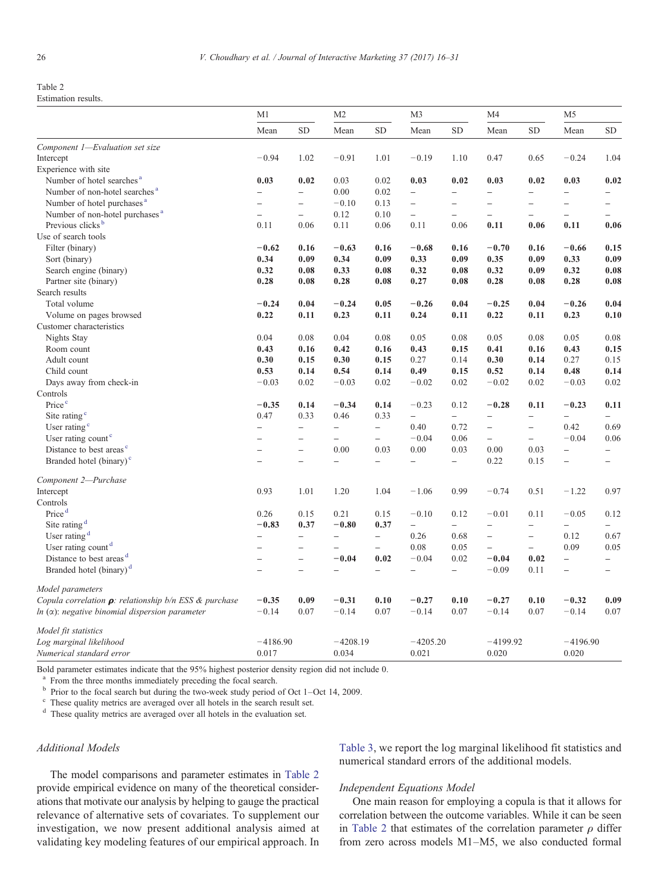# <span id="page-10-0"></span>Table 2

Estimation results.

|                                                             | M1                       |                          | M <sub>2</sub>           |                          | M3                       |                          | M4                       |                          | M5                       |                          |
|-------------------------------------------------------------|--------------------------|--------------------------|--------------------------|--------------------------|--------------------------|--------------------------|--------------------------|--------------------------|--------------------------|--------------------------|
|                                                             | Mean                     | <b>SD</b>                | Mean                     | <b>SD</b>                | Mean                     | <b>SD</b>                | Mean                     | <b>SD</b>                | Mean                     | <b>SD</b>                |
| Component 1-Evaluation set size                             |                          |                          |                          |                          |                          |                          |                          |                          |                          |                          |
| Intercept                                                   | $-0.94$                  | 1.02                     | $-0.91$                  | 1.01                     | $-0.19$                  | 1.10                     | 0.47                     | 0.65                     | $-0.24$                  | 1.04                     |
| Experience with site                                        |                          |                          |                          |                          |                          |                          |                          |                          |                          |                          |
| Number of hotel searches <sup>a</sup>                       | 0.03                     | 0.02                     | 0.03                     | 0.02                     | 0.03                     | 0.02                     | 0.03                     | 0.02                     | 0.03                     | 0.02                     |
| Number of non-hotel searches <sup>a</sup>                   |                          | $\overline{\phantom{0}}$ | 0.00                     | 0.02                     | $\overline{\phantom{0}}$ | $\overline{\phantom{0}}$ | $\overline{\phantom{0}}$ | $\qquad \qquad -$        | $\overline{\phantom{0}}$ | $\qquad \qquad -$        |
| Number of hotel purchases <sup>a</sup>                      | $\overline{\phantom{0}}$ | $\qquad \qquad -$        | $-0.10$                  | 0.13                     | $\overline{\phantom{0}}$ | $\overline{\phantom{0}}$ | $\qquad \qquad -$        | $\overline{\phantom{a}}$ | $\overline{\phantom{0}}$ | $\overline{\phantom{0}}$ |
| Number of non-hotel purchases <sup>a</sup>                  | $\overline{\phantom{0}}$ | $\overline{\phantom{0}}$ | 0.12                     | 0.10                     | $\overline{\phantom{0}}$ | $\overline{\phantom{0}}$ | ÷                        | $\overline{\phantom{0}}$ | ÷                        | $\overline{\phantom{0}}$ |
| Previous clicks <sup>b</sup>                                | 0.11                     | 0.06                     | 0.11                     | 0.06                     | 0.11                     | 0.06                     | 0.11                     | 0.06                     | 0.11                     | 0.06                     |
| Use of search tools                                         |                          |                          |                          |                          |                          |                          |                          |                          |                          |                          |
| Filter (binary)                                             | $-0.62$                  | 0.16                     | $-0.63$                  | 0.16                     | $-0.68$                  | 0.16                     | $-0.70$                  | 0.16                     | $-0.66$                  | 0.15                     |
| Sort (binary)                                               | 0.34                     | 0.09                     | 0.34                     | 0.09                     | 0.33                     | 0.09                     | 0.35                     | 0.09                     | 0.33                     | 0.09                     |
| Search engine (binary)                                      | 0.32                     | 0.08                     | 0.33                     | 0.08                     | 0.32                     | 0.08                     | 0.32                     | 0.09                     | 0.32                     | 0.08                     |
| Partner site (binary)                                       | 0.28                     | 0.08                     | 0.28                     | 0.08                     | 0.27                     | 0.08                     | 0.28                     | 0.08                     | 0.28                     | 0.08                     |
| Search results                                              |                          |                          |                          |                          |                          |                          |                          |                          |                          |                          |
| Total volume                                                | $-0.24$                  | 0.04                     | $-0.24$                  | 0.05                     | $-0.26$                  | 0.04                     | $-0.25$                  | 0.04                     | $-0.26$                  | 0.04                     |
| Volume on pages browsed                                     | 0.22                     | 0.11                     | 0.23                     | 0.11                     | 0.24                     | 0.11                     | 0.22                     | 0.11                     | 0.23                     | 0.10                     |
| Customer characteristics                                    |                          |                          |                          |                          |                          |                          |                          |                          |                          |                          |
| Nights Stay                                                 | 0.04                     | 0.08                     | 0.04                     | 0.08                     | 0.05                     | 0.08                     | 0.05                     | 0.08                     | 0.05                     | 0.08                     |
| Room count                                                  | 0.43                     | 0.16                     | 0.42                     | 0.16                     | 0.43                     | 0.15                     | 0.41                     | 0.16                     | 0.43                     | 0.15                     |
| Adult count                                                 | 0.30                     | 0.15                     | 0.30                     | 0.15                     | 0.27                     | 0.14                     | 0.30                     | 0.14                     | 0.27                     | 0.15                     |
| Child count                                                 | 0.53                     | 0.14                     | 0.54                     | 0.14                     | 0.49                     | 0.15                     | 0.52                     | 0.14                     | 0.48                     | 0.14                     |
| Days away from check-in                                     | $-0.03$                  | 0.02                     | $-0.03$                  | 0.02                     | $-0.02$                  | 0.02                     | $-0.02$                  | 0.02                     | $-0.03$                  | 0.02                     |
| Controls                                                    |                          |                          |                          |                          |                          |                          |                          |                          |                          |                          |
| Price <sup>c</sup>                                          | $-0.35$                  | 0.14                     | $-0.34$                  | 0.14                     | $-0.23$                  | 0.12                     | $-0.28$                  | 0.11                     | $-0.23$                  | 0.11                     |
| Site rating <sup>c</sup>                                    | 0.47                     | 0.33                     | 0.46                     | 0.33                     | $\overline{\phantom{0}}$ | $\overline{\phantom{0}}$ | $\qquad \qquad -$        | $\overline{\phantom{a}}$ | $\overline{\phantom{0}}$ | $\overline{\phantom{0}}$ |
| User rating <sup>c</sup>                                    | $\overline{a}$           | $\overline{\phantom{0}}$ | $\overline{\phantom{0}}$ | $\overline{\phantom{0}}$ | 0.40                     | 0.72                     | $\qquad \qquad -$        | $\qquad \qquad -$        | 0.42                     | 0.69                     |
| User rating count <sup>c</sup>                              | $\overline{\phantom{0}}$ | $\overline{\phantom{0}}$ | $\overline{\phantom{0}}$ | $\overline{\phantom{0}}$ | $-0.04$                  | 0.06                     | $\overline{\phantom{0}}$ | $-$                      | $-0.04$                  | 0.06                     |
| Distance to best areas <sup>c</sup>                         | $\overline{\phantom{0}}$ | $\overline{\phantom{0}}$ | 0.00                     | 0.03                     | 0.00                     | 0.03                     | 0.00                     | 0.03                     | $\overline{\phantom{0}}$ | $\overline{\phantom{0}}$ |
| Branded hotel (binary) <sup>c</sup>                         | L.                       | $\overline{\phantom{0}}$ | $\equiv$                 | $\equiv$                 | $\overline{\phantom{0}}$ | $\overline{\phantom{0}}$ | 0.22                     | 0.15                     | $\overline{\phantom{0}}$ | $\overline{a}$           |
| Component 2-Purchase                                        |                          |                          |                          |                          |                          |                          |                          |                          |                          |                          |
| Intercept                                                   | 0.93                     | 1.01                     | 1.20                     | 1.04                     | $-1.06$                  | 0.99                     | $-0.74$                  | 0.51                     | $-1.22$                  | 0.97                     |
| Controls                                                    |                          |                          |                          |                          |                          |                          |                          |                          |                          |                          |
| Price <sup>d</sup>                                          | 0.26                     | 0.15                     | 0.21                     | 0.15                     | $-0.10$                  | 0.12                     | $-0.01$                  | 0.11                     | $-0.05$                  | 0.12                     |
| Site rating <sup>d</sup>                                    | $-0.83$                  | 0.37                     | $-0.80$                  | 0.37                     | $\overline{\phantom{0}}$ | $\overline{\phantom{0}}$ | $\qquad \qquad -$        | $\overline{\phantom{0}}$ | $\overline{\phantom{0}}$ |                          |
| User rating <sup>d</sup>                                    | $\overline{\phantom{0}}$ | $\overline{\phantom{0}}$ | $\overline{\phantom{0}}$ | $\overline{\phantom{0}}$ | 0.26                     | 0.68                     | $\qquad \qquad -$        | $\qquad \qquad -$        | 0.12                     | 0.67                     |
| User rating count <sup>d</sup>                              | $\overline{\phantom{0}}$ | $\overline{\phantom{0}}$ | $\overline{\phantom{0}}$ | $\equiv$                 | 0.08                     | 0.05                     | $\equiv$                 | $\overline{\phantom{0}}$ | 0.09                     | 0.05                     |
| Distance to best areas <sup>d</sup>                         | $\qquad \qquad -$        | $\qquad \qquad -$        | $-0.04$                  | 0.02                     | $-0.04$                  | 0.02                     | $-0.04$                  | 0.02                     | $\qquad \qquad -$        | $\overline{\phantom{0}}$ |
| Branded hotel (binary) <sup>d</sup>                         |                          | $\overline{\phantom{0}}$ | $\equiv$                 | $\equiv$                 | $\overline{\phantom{0}}$ | $\equiv$                 | $-0.09$                  | 0.11                     | $\overline{\phantom{0}}$ | $\overline{a}$           |
| Model parameters                                            |                          |                          |                          |                          |                          |                          |                          |                          |                          |                          |
| Copula correlation $\rho$ : relationship b/n ESS & purchase | $-0.35$                  | 0.09                     | $-0.31$                  | 0.10                     | $-0.27$                  | 0.10                     | $-0.27$                  | 0.10                     | $-0.32$                  | 0.09                     |
| $ln(\alpha)$ : negative binomial dispersion parameter       | $-0.14$                  | 0.07                     | $-0.14$                  | 0.07                     | $-0.14$                  | 0.07                     | $-0.14$                  | 0.07                     | $-0.14$                  | 0.07                     |
| Model fit statistics                                        |                          |                          |                          |                          |                          |                          |                          |                          |                          |                          |
| Log marginal likelihood                                     | $-4186.90$               |                          | $-4208.19$               |                          | $-4205.20$               |                          | $-4199.92$               |                          | $-4196.90$               |                          |
| Numerical standard error                                    | 0.017                    |                          | 0.034                    |                          | 0.021                    |                          | 0.020                    |                          | 0.020                    |                          |

Bold parameter estimates indicate that the 95% highest posterior density region did not include 0.

<sup>a</sup> From the three months immediately preceding the focal search.<br><sup>b</sup> Prior to the focal search but during the two-week study period of Oct 1–Oct 14, 2009.<br><sup>c</sup> These quality metrics are averaged over all hotels in the sea

 $d$  These quality metrics are averaged over all hotels in the evaluation set.

# Additional Models

The model comparisons and parameter estimates in Table 2 provide empirical evidence on many of the theoretical considerations that motivate our analysis by helping to gauge the practical relevance of alternative sets of covariates. To supplement our investigation, we now present additional analysis aimed at validating key modeling features of our empirical approach. In [Table 3](#page-11-0), we report the log marginal likelihood fit statistics and numerical standard errors of the additional models.

### Independent Equations Model

One main reason for employing a copula is that it allows for correlation between the outcome variables. While it can be seen in Table 2 that estimates of the correlation parameter  $\rho$  differ from zero across models M1–M5, we also conducted formal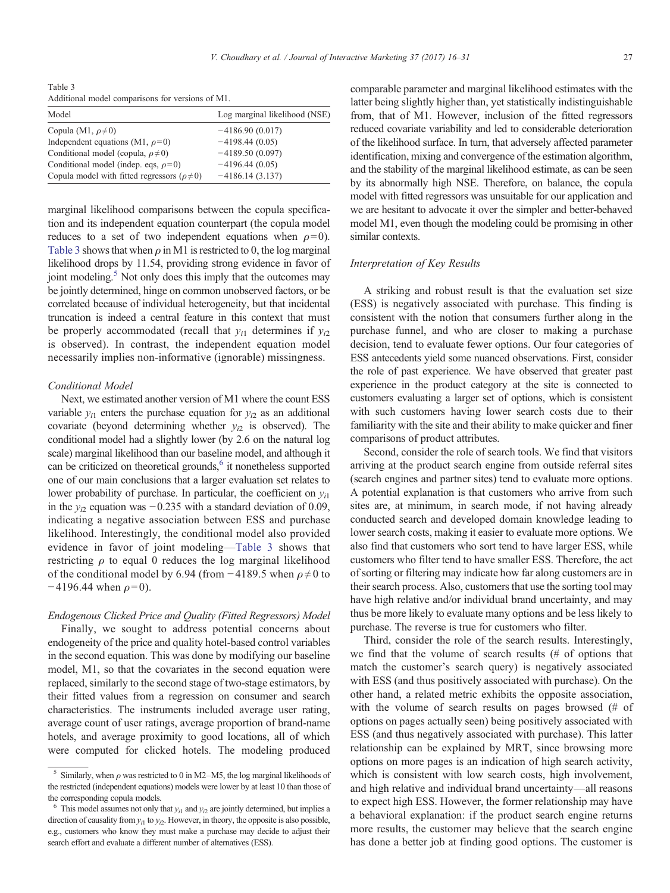<span id="page-11-0"></span>Table 3 Additional model comparisons for versions of M1.

| Model                                                 | Log marginal likelihood (NSE) |
|-------------------------------------------------------|-------------------------------|
| Copula (M1, $\rho \neq 0$ )                           | $-4186.90(0.017)$             |
| Independent equations (M1, $\rho=0$ )                 | $-4198.44(0.05)$              |
| Conditional model (copula, $\rho \neq 0$ )            | $-4189.50(0.097)$             |
| Conditional model (indep. eqs. $\rho = 0$ )           | $-4196.44(0.05)$              |
| Copula model with fitted regressors ( $\rho \neq 0$ ) | $-4186.14(3.137)$             |

marginal likelihood comparisons between the copula specification and its independent equation counterpart (the copula model reduces to a set of two independent equations when  $\rho = 0$ ). Table 3 shows that when  $\rho$  in M1 is restricted to 0, the log marginal likelihood drops by 11.54, providing strong evidence in favor of joint modeling.<sup>5</sup> Not only does this imply that the outcomes may be jointly determined, hinge on common unobserved factors, or be correlated because of individual heterogeneity, but that incidental truncation is indeed a central feature in this context that must be properly accommodated (recall that  $y_{i1}$  determines if  $y_{i2}$ is observed). In contrast, the independent equation model necessarily implies non-informative (ignorable) missingness.

### Conditional Model

Next, we estimated another version of M1 where the count ESS variable  $y_{i1}$  enters the purchase equation for  $y_{i2}$  as an additional covariate (beyond determining whether  $y_{i2}$  is observed). The conditional model had a slightly lower (by 2.6 on the natural log scale) marginal likelihood than our baseline model, and although it can be criticized on theoretical grounds,<sup>6</sup> it nonetheless supported one of our main conclusions that a larger evaluation set relates to lower probability of purchase. In particular, the coefficient on  $y_{i1}$ in the  $y_{i2}$  equation was −0.235 with a standard deviation of 0.09, indicating a negative association between ESS and purchase likelihood. Interestingly, the conditional model also provided evidence in favor of joint modeling—Table 3 shows that restricting  $\rho$  to equal 0 reduces the log marginal likelihood of the conditional model by 6.94 (from −4189.5 when  $\rho \neq 0$  to  $-4196.44$  when  $\rho = 0$ ).

### Endogenous Clicked Price and Quality (Fitted Regressors) Model

Finally, we sought to address potential concerns about endogeneity of the price and quality hotel-based control variables in the second equation. This was done by modifying our baseline model, M1, so that the covariates in the second equation were replaced, similarly to the second stage of two-stage estimators, by their fitted values from a regression on consumer and search characteristics. The instruments included average user rating, average count of user ratings, average proportion of brand-name hotels, and average proximity to good locations, all of which were computed for clicked hotels. The modeling produced comparable parameter and marginal likelihood estimates with the latter being slightly higher than, yet statistically indistinguishable from, that of M1. However, inclusion of the fitted regressors reduced covariate variability and led to considerable deterioration of the likelihood surface. In turn, that adversely affected parameter identification, mixing and convergence of the estimation algorithm, and the stability of the marginal likelihood estimate, as can be seen by its abnormally high NSE. Therefore, on balance, the copula model with fitted regressors was unsuitable for our application and we are hesitant to advocate it over the simpler and better-behaved model M1, even though the modeling could be promising in other similar contexts.

### Interpretation of Key Results

A striking and robust result is that the evaluation set size (ESS) is negatively associated with purchase. This finding is consistent with the notion that consumers further along in the purchase funnel, and who are closer to making a purchase decision, tend to evaluate fewer options. Our four categories of ESS antecedents yield some nuanced observations. First, consider the role of past experience. We have observed that greater past experience in the product category at the site is connected to customers evaluating a larger set of options, which is consistent with such customers having lower search costs due to their familiarity with the site and their ability to make quicker and finer comparisons of product attributes.

Second, consider the role of search tools. We find that visitors arriving at the product search engine from outside referral sites (search engines and partner sites) tend to evaluate more options. A potential explanation is that customers who arrive from such sites are, at minimum, in search mode, if not having already conducted search and developed domain knowledge leading to lower search costs, making it easier to evaluate more options. We also find that customers who sort tend to have larger ESS, while customers who filter tend to have smaller ESS. Therefore, the act of sorting or filtering may indicate how far along customers are in their search process. Also, customers that use the sorting tool may have high relative and/or individual brand uncertainty, and may thus be more likely to evaluate many options and be less likely to purchase. The reverse is true for customers who filter.

Third, consider the role of the search results. Interestingly, we find that the volume of search results (# of options that match the customer's search query) is negatively associated with ESS (and thus positively associated with purchase). On the other hand, a related metric exhibits the opposite association, with the volume of search results on pages browsed (# of options on pages actually seen) being positively associated with ESS (and thus negatively associated with purchase). This latter relationship can be explained by MRT, since browsing more options on more pages is an indication of high search activity, which is consistent with low search costs, high involvement, and high relative and individual brand uncertainty—all reasons to expect high ESS. However, the former relationship may have a behavioral explanation: if the product search engine returns more results, the customer may believe that the search engine has done a better job at finding good options. The customer is

Similarly, when  $\rho$  was restricted to 0 in M2–M5, the log marginal likelihoods of the restricted (independent equations) models were lower by at least 10 than those of the corresponding copula models.

This model assumes not only that  $y_{i1}$  and  $y_{i2}$  are jointly determined, but implies a direction of causality from  $y_{i1}$  to  $y_{i2}$ . However, in theory, the opposite is also possible, e.g., customers who know they must make a purchase may decide to adjust their search effort and evaluate a different number of alternatives (ESS).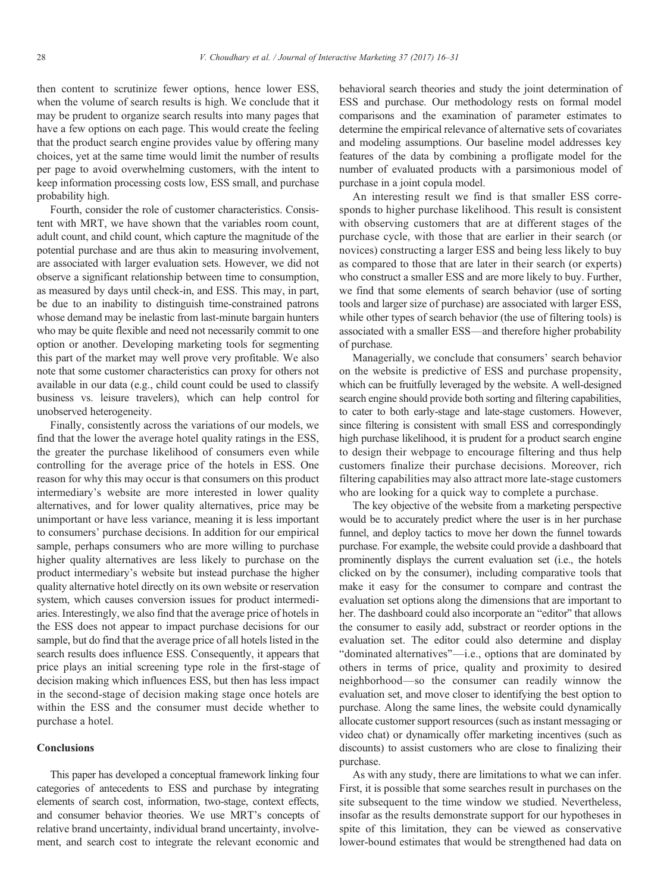then content to scrutinize fewer options, hence lower ESS, when the volume of search results is high. We conclude that it may be prudent to organize search results into many pages that have a few options on each page. This would create the feeling that the product search engine provides value by offering many choices, yet at the same time would limit the number of results per page to avoid overwhelming customers, with the intent to keep information processing costs low, ESS small, and purchase probability high.

Fourth, consider the role of customer characteristics. Consistent with MRT, we have shown that the variables room count, adult count, and child count, which capture the magnitude of the potential purchase and are thus akin to measuring involvement, are associated with larger evaluation sets. However, we did not observe a significant relationship between time to consumption, as measured by days until check-in, and ESS. This may, in part, be due to an inability to distinguish time-constrained patrons whose demand may be inelastic from last-minute bargain hunters who may be quite flexible and need not necessarily commit to one option or another. Developing marketing tools for segmenting this part of the market may well prove very profitable. We also note that some customer characteristics can proxy for others not available in our data (e.g., child count could be used to classify business vs. leisure travelers), which can help control for unobserved heterogeneity.

Finally, consistently across the variations of our models, we find that the lower the average hotel quality ratings in the ESS, the greater the purchase likelihood of consumers even while controlling for the average price of the hotels in ESS. One reason for why this may occur is that consumers on this product intermediary's website are more interested in lower quality alternatives, and for lower quality alternatives, price may be unimportant or have less variance, meaning it is less important to consumers' purchase decisions. In addition for our empirical sample, perhaps consumers who are more willing to purchase higher quality alternatives are less likely to purchase on the product intermediary's website but instead purchase the higher quality alternative hotel directly on its own website or reservation system, which causes conversion issues for product intermediaries. Interestingly, we also find that the average price of hotels in the ESS does not appear to impact purchase decisions for our sample, but do find that the average price of all hotels listed in the search results does influence ESS. Consequently, it appears that price plays an initial screening type role in the first-stage of decision making which influences ESS, but then has less impact in the second-stage of decision making stage once hotels are within the ESS and the consumer must decide whether to purchase a hotel.

### **Conclusions**

This paper has developed a conceptual framework linking four categories of antecedents to ESS and purchase by integrating elements of search cost, information, two-stage, context effects, and consumer behavior theories. We use MRT's concepts of relative brand uncertainty, individual brand uncertainty, involvement, and search cost to integrate the relevant economic and behavioral search theories and study the joint determination of ESS and purchase. Our methodology rests on formal model comparisons and the examination of parameter estimates to determine the empirical relevance of alternative sets of covariates and modeling assumptions. Our baseline model addresses key features of the data by combining a profligate model for the number of evaluated products with a parsimonious model of purchase in a joint copula model.

An interesting result we find is that smaller ESS corresponds to higher purchase likelihood. This result is consistent with observing customers that are at different stages of the purchase cycle, with those that are earlier in their search (or novices) constructing a larger ESS and being less likely to buy as compared to those that are later in their search (or experts) who construct a smaller ESS and are more likely to buy. Further, we find that some elements of search behavior (use of sorting tools and larger size of purchase) are associated with larger ESS, while other types of search behavior (the use of filtering tools) is associated with a smaller ESS—and therefore higher probability of purchase.

Managerially, we conclude that consumers' search behavior on the website is predictive of ESS and purchase propensity, which can be fruitfully leveraged by the website. A well-designed search engine should provide both sorting and filtering capabilities, to cater to both early-stage and late-stage customers. However, since filtering is consistent with small ESS and correspondingly high purchase likelihood, it is prudent for a product search engine to design their webpage to encourage filtering and thus help customers finalize their purchase decisions. Moreover, rich filtering capabilities may also attract more late-stage customers who are looking for a quick way to complete a purchase.

The key objective of the website from a marketing perspective would be to accurately predict where the user is in her purchase funnel, and deploy tactics to move her down the funnel towards purchase. For example, the website could provide a dashboard that prominently displays the current evaluation set (i.e., the hotels clicked on by the consumer), including comparative tools that make it easy for the consumer to compare and contrast the evaluation set options along the dimensions that are important to her. The dashboard could also incorporate an "editor" that allows the consumer to easily add, substract or reorder options in the evaluation set. The editor could also determine and display "dominated alternatives"—i.e., options that are dominated by others in terms of price, quality and proximity to desired neighborhood—so the consumer can readily winnow the evaluation set, and move closer to identifying the best option to purchase. Along the same lines, the website could dynamically allocate customer support resources (such as instant messaging or video chat) or dynamically offer marketing incentives (such as discounts) to assist customers who are close to finalizing their purchase.

As with any study, there are limitations to what we can infer. First, it is possible that some searches result in purchases on the site subsequent to the time window we studied. Nevertheless, insofar as the results demonstrate support for our hypotheses in spite of this limitation, they can be viewed as conservative lower-bound estimates that would be strengthened had data on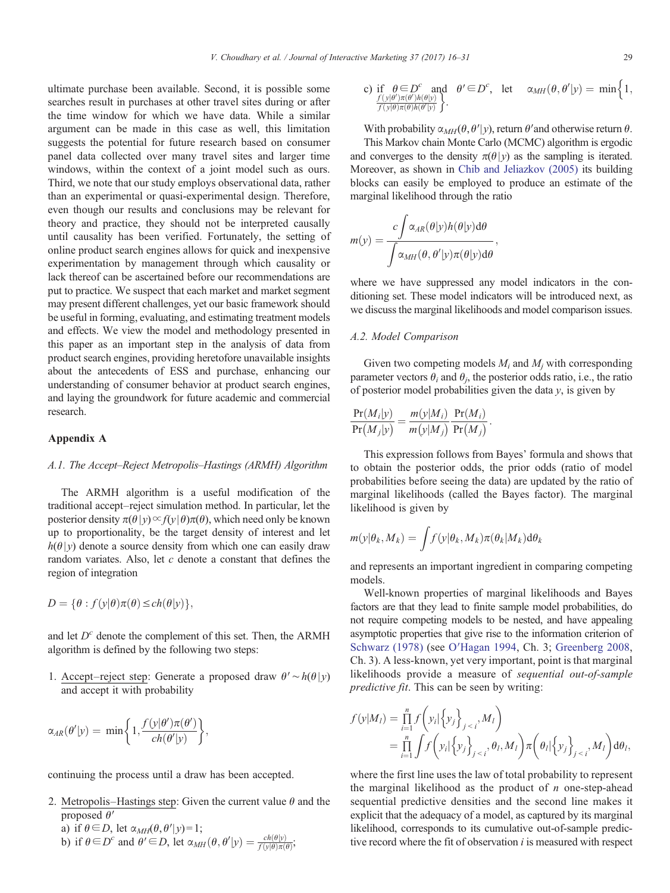<span id="page-13-0"></span>ultimate purchase been available. Second, it is possible some searches result in purchases at other travel sites during or after the time window for which we have data. While a similar argument can be made in this case as well, this limitation suggests the potential for future research based on consumer panel data collected over many travel sites and larger time windows, within the context of a joint model such as ours. Third, we note that our study employs observational data, rather than an experimental or quasi-experimental design. Therefore, even though our results and conclusions may be relevant for theory and practice, they should not be interpreted causally until causality has been verified. Fortunately, the setting of online product search engines allows for quick and inexpensive experimentation by management through which causality or lack thereof can be ascertained before our recommendations are put to practice. We suspect that each market and market segment may present different challenges, yet our basic framework should be useful in forming, evaluating, and estimating treatment models and effects. We view the model and methodology presented in this paper as an important step in the analysis of data from product search engines, providing heretofore unavailable insights about the antecedents of ESS and purchase, enhancing our understanding of consumer behavior at product search engines, and laying the groundwork for future academic and commercial research.

# Appendix A

### A.1. The Accept–Reject Metropolis–Hastings (ARMH) Algorithm

The ARMH algorithm is a useful modification of the traditional accept–reject simulation method. In particular, let the posterior density  $\pi(\theta | y) \propto f(y | \theta) \pi(\theta)$ , which need only be known up to proportionality, be the target density of interest and let  $h(\theta | y)$  denote a source density from which one can easily draw random variates. Also, let  $c$  denote a constant that defines the region of integration

$$
D = \{ \theta : f(y|\theta)\pi(\theta) \le ch(\theta|y) \},\
$$

and let  $D<sup>c</sup>$  denote the complement of this set. Then, the ARMH algorithm is defined by the following two steps:

1. Accept–reject step: Generate a proposed draw  $θ' \sim h(θ|y)$ and accept it with probability

$$
\alpha_{AR}(\theta'|y) = \min\bigg\{1, \frac{f(y|\theta')\pi(\theta')}{ch(\theta'|y)}\bigg\},\,
$$

continuing the process until a draw has been accepted.

- 2. Metropolis–Hastings step: Given the current value  $\theta$  and the proposed  $\theta'$ 
	- a) if  $\theta \in D$ , let  $\alpha_{MH}(\theta, \theta'|y) = 1$ ; b) if  $\theta \in D^c$  and  $\theta' \in D$ , let  $\alpha_{MH}(\theta, \theta'|y) = \frac{ch(\theta|y)}{f(y|\theta)\pi(\theta)}$ ;

c) if 
$$
\theta \in D^c
$$
 and  $\theta' \in D^c$ , let  $\alpha_{MH}(\theta, \theta'|y) = \min \left\{1, \frac{f(y|\theta')\pi(\theta')h(\theta|y)}{f(y|\theta)\pi(\theta)h(\theta'|y)}\right\}$ .

With probability  $\alpha_{MH}(\theta, \theta'|y)$ , return  $\theta'$  and otherwise return  $\theta$ . This Markov chain Monte Carlo (MCMC) algorithm is ergodic and converges to the density  $\pi(\theta|\gamma)$  as the sampling is iterated. Moreover, as shown in [Chib and Jeliazkov \(2005\)](#page-14-0) its building blocks can easily be employed to produce an estimate of the marginal likelihood through the ratio

$$
m(y) = \frac{c \int \alpha_{AR}(\theta|y)h(\theta|y) d\theta}{\int \alpha_{MH}(\theta, \theta'|y) \pi(\theta|y) d\theta},
$$

where we have suppressed any model indicators in the conditioning set. These model indicators will be introduced next, as we discuss the marginal likelihoods and model comparison issues.

## A.2. Model Comparison

Given two competing models  $M_i$  and  $M_j$  with corresponding parameter vectors  $\theta_i$  and  $\theta_j$ , the posterior odds ratio, i.e., the ratio of posterior model probabilities given the data  $y$ , is given by

$$
\frac{\Pr(M_i|y)}{\Pr(M_j|y)} = \frac{m(y|M_i)}{m(y|M_j)} \frac{\Pr(M_i)}{\Pr(M_j)}.
$$

This expression follows from Bayes' formula and shows that to obtain the posterior odds, the prior odds (ratio of model probabilities before seeing the data) are updated by the ratio of marginal likelihoods (called the Bayes factor). The marginal likelihood is given by

$$
m(y|\theta_k, M_k) = \int f(y|\theta_k, M_k) \pi(\theta_k|M_k) d\theta_k
$$

and represents an important ingredient in comparing competing models.

Well-known properties of marginal likelihoods and Bayes factors are that they lead to finite sample model probabilities, do not require competing models to be nested, and have appealing asymptotic properties that give rise to the information criterion of [Schwarz \(1978\)](#page-15-0) (see O′[Hagan 1994](#page-15-0), Ch. 3; [Greenberg 2008](#page-14-0), Ch. 3). A less-known, yet very important, point is that marginal likelihoods provide a measure of sequential out-of-sample predictive fit. This can be seen by writing:

$$
f(y|M_l) = \prod_{i=1}^n f\left(y_i|\left\{y_j\right\}_{j  
= 
$$
\prod_{i=1}^n \int f\left(y_i|\left\{y_j\right\}_{j
$$
$$

where the first line uses the law of total probability to represent the marginal likelihood as the product of  $n$  one-step-ahead sequential predictive densities and the second line makes it explicit that the adequacy of a model, as captured by its marginal likelihood, corresponds to its cumulative out-of-sample predictive record where the fit of observation  $i$  is measured with respect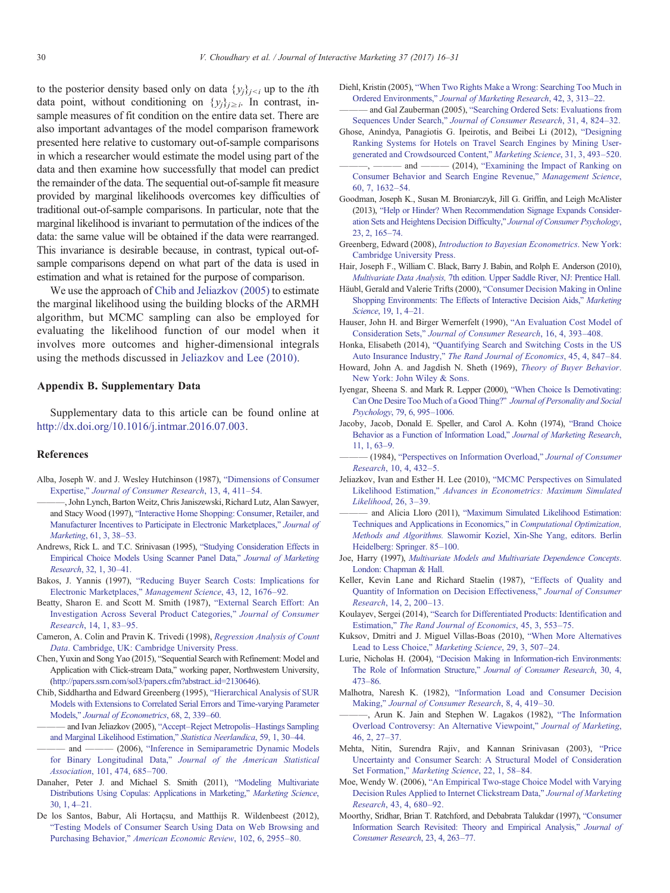<span id="page-14-0"></span>to the posterior density based only on data  $\{y_i\}_{i\leq i}$  up to the *i*th data point, without conditioning on  $\{y_i\}_{i\geq i}$ . In contrast, insample measures of fit condition on the entire data set. There are also important advantages of the model comparison framework presented here relative to customary out-of-sample comparisons in which a researcher would estimate the model using part of the data and then examine how successfully that model can predict the remainder of the data. The sequential out-of-sample fit measure provided by marginal likelihoods overcomes key difficulties of traditional out-of-sample comparisons. In particular, note that the marginal likelihood is invariant to permutation of the indices of the data: the same value will be obtained if the data were rearranged. This invariance is desirable because, in contrast, typical out-ofsample comparisons depend on what part of the data is used in estimation and what is retained for the purpose of comparison.

We use the approach of Chib and Jeliazkov (2005) to estimate the marginal likelihood using the building blocks of the ARMH algorithm, but MCMC sampling can also be employed for evaluating the likelihood function of our model when it involves more outcomes and higher-dimensional integrals using the methods discussed in Jeliazkov and Lee (2010).

### Appendix B. Supplementary Data

Supplementary data to this article can be found online at <http://dx.doi.org/10.1016/j.intmar.2016.07.003>.

### References

- Alba, Joseph W. and J. Wesley Hutchinson (1987), "[Dimensions of Consumer](http://refhub.elsevier.com/S1094-9968(16)30057-3/rf0005) Expertise," [Journal of Consumer Research](http://refhub.elsevier.com/S1094-9968(16)30057-3/rf0005), 13, 4, 411–54.
- ———, John Lynch, Barton Weitz, Chris Janiszewski, Richard Lutz, Alan Sawyer, and Stacy Wood (1997), "[Interactive Home Shopping: Consumer, Retailer, and](http://refhub.elsevier.com/S1094-9968(16)30057-3/rf0010) [Manufacturer Incentives to Participate in Electronic Marketplaces,](http://refhub.elsevier.com/S1094-9968(16)30057-3/rf0010)" Journal of [Marketing](http://refhub.elsevier.com/S1094-9968(16)30057-3/rf0010), 61, 3, 38–53.
- Andrews, Rick L. and T.C. Srinivasan (1995), "[Studying Consideration Effects in](http://refhub.elsevier.com/S1094-9968(16)30057-3/rf0015) [Empirical Choice Models Using Scanner Panel Data,](http://refhub.elsevier.com/S1094-9968(16)30057-3/rf0015)" Journal of Marketing Research[, 32, 1, 30](http://refhub.elsevier.com/S1094-9968(16)30057-3/rf0015)–41.
- Bakos, J. Yannis (1997), "[Reducing Buyer Search Costs: Implications for](http://refhub.elsevier.com/S1094-9968(16)30057-3/rf0020) [Electronic Marketplaces,](http://refhub.elsevier.com/S1094-9968(16)30057-3/rf0020)" Management Science, 43, 12, 1676–92.
- Beatty, Sharon E. and Scott M. Smith (1987), "[External Search Effort: An](http://refhub.elsevier.com/S1094-9968(16)30057-3/rf0025) [Investigation Across Several Product Categories,](http://refhub.elsevier.com/S1094-9968(16)30057-3/rf0025)" Journal of Consumer Research[, 14, 1, 83](http://refhub.elsevier.com/S1094-9968(16)30057-3/rf0025)–95.
- Cameron, A. Colin and Pravin K. Trivedi (1998), [Regression Analysis of Count](http://refhub.elsevier.com/S1094-9968(16)30057-3/rf0030) Data[. Cambridge, UK: Cambridge University Press.](http://refhub.elsevier.com/S1094-9968(16)30057-3/rf0030)
- Chen, Yuxin and Song Yao (2015), "Sequential Search with Refinement: Model and Application with Click-stream Data," working paper, Northwestern University, [\(http://papers.ssrn.com/sol3/papers.cfm?abstract\\_id=2130646](http://papers.ssrn.com/sol3/papers.cfm?abstract_id%20=%202130646)).
- Chib, Siddhartha and Edward Greenberg (1995), "[Hierarchical Analysis of SUR](http://refhub.elsevier.com/S1094-9968(16)30057-3/rf0040) [Models with Extensions to Correlated Serial Errors and Time-varying Parameter](http://refhub.elsevier.com/S1094-9968(16)30057-3/rf0040) Models," [Journal of Econometrics](http://refhub.elsevier.com/S1094-9968(16)30057-3/rf0040), 68, 2, 339–60.
- and Ivan Jeliazkov (2005), "Accept–Reject Metropolis–[Hastings Sampling](http://refhub.elsevier.com/S1094-9968(16)30057-3/rf0045) [and Marginal Likelihood Estimation,](http://refhub.elsevier.com/S1094-9968(16)30057-3/rf0045)" Statistica Neerlandica, 59, 1, 30–44.
- and ——— (2006), "[Inference in Semiparametric Dynamic Models](http://refhub.elsevier.com/S1094-9968(16)30057-3/rf0050) for Binary Longitudinal Data," [Journal of the American Statistical](http://refhub.elsevier.com/S1094-9968(16)30057-3/rf0050) Association[, 101, 474, 685](http://refhub.elsevier.com/S1094-9968(16)30057-3/rf0050)–700.
- Danaher, Peter J. and Michael S. Smith (2011), "[Modeling Multivariate](http://refhub.elsevier.com/S1094-9968(16)30057-3/rf0055) [Distributions Using Copulas: Applications in Marketing,](http://refhub.elsevier.com/S1094-9968(16)30057-3/rf0055)" Marketing Science, [30, 1, 4](http://refhub.elsevier.com/S1094-9968(16)30057-3/rf0055)–21.
- De los Santos, Babur, Ali Hortaçsu, and Matthijs R. Wildenbeest (2012), "[Testing Models of Consumer Search Using Data on Web Browsing and](http://refhub.elsevier.com/S1094-9968(16)30057-3/rf0060) Purchasing Behavior," [American Economic Review](http://refhub.elsevier.com/S1094-9968(16)30057-3/rf0060), 102, 6, 2955–80.
- Diehl, Kristin (2005), "[When Two Rights Make a Wrong: Searching Too Much in](http://refhub.elsevier.com/S1094-9968(16)30057-3/rf0065) Ordered Environments," [Journal of Marketing Research](http://refhub.elsevier.com/S1094-9968(16)30057-3/rf0065), 42, 3, 313–22.
- and Gal Zauberman (2005), "[Searching Ordered Sets: Evaluations from](http://refhub.elsevier.com/S1094-9968(16)30057-3/rf0070) Sequences Under Search," [Journal of Consumer Research](http://refhub.elsevier.com/S1094-9968(16)30057-3/rf0070), 31, 4, 824–32.
- Ghose, Anindya, Panagiotis G. Ipeirotis, and Beibei Li (2012), "[Designing](http://refhub.elsevier.com/S1094-9968(16)30057-3/rf0075) [Ranking Systems for Hotels on Travel Search Engines by Mining User](http://refhub.elsevier.com/S1094-9968(16)30057-3/rf0075)[generated and Crowdsourced Content,](http://refhub.elsevier.com/S1094-9968(16)30057-3/rf0075)" Marketing Science, 31, 3, 493–520. - and ——— (2014), "[Examining the Impact of Ranking on](http://refhub.elsevier.com/S1094-9968(16)30057-3/rf0080) [Consumer Behavior and Search Engine Revenue,](http://refhub.elsevier.com/S1094-9968(16)30057-3/rf0080)" Management Science, [60, 7, 1632](http://refhub.elsevier.com/S1094-9968(16)30057-3/rf0080)–54.
- Goodman, Joseph K., Susan M. Broniarczyk, Jill G. Griffin, and Leigh McAlister (2013), "[Help or Hinder? When Recommendation Signage Expands Consider](http://refhub.elsevier.com/S1094-9968(16)30057-3/rf0085)[ation Sets and Heightens Decision Difficulty,](http://refhub.elsevier.com/S1094-9968(16)30057-3/rf0085)" Journal of Consumer Psychology, [23, 2, 165](http://refhub.elsevier.com/S1094-9968(16)30057-3/rf0085)–74.
- Greenberg, Edward (2008), [Introduction to Bayesian Econometrics](http://refhub.elsevier.com/S1094-9968(16)30057-3/rf9005). New York: [Cambridge University Press.](http://refhub.elsevier.com/S1094-9968(16)30057-3/rf9005)
- Hair, Joseph F., William C. Black, Barry J. Babin, and Rolph E. Anderson (2010), Multivariate Data Analysis, [7th edition. Upper Saddle River, NJ: Prentice Hall.](http://refhub.elsevier.com/S1094-9968(16)30057-3/rf0090)
- Häubl, Gerald and Valerie Trifts (2000), "[Consumer Decision Making in Online](http://refhub.elsevier.com/S1094-9968(16)30057-3/rf0095) [Shopping Environments: The Effects of Interactive Decision Aids,](http://refhub.elsevier.com/S1094-9968(16)30057-3/rf0095)" Marketing Science[, 19, 1, 4](http://refhub.elsevier.com/S1094-9968(16)30057-3/rf0095)–21.
- Hauser, John H. and Birger Wernerfelt (1990), "[An Evaluation Cost Model of](http://refhub.elsevier.com/S1094-9968(16)30057-3/rf0100) Consideration Sets," [Journal of Consumer Research](http://refhub.elsevier.com/S1094-9968(16)30057-3/rf0100), 16, 4, 393–408.
- Honka, Elisabeth (2014), "[Quantifying Search and Switching Costs in the US](http://refhub.elsevier.com/S1094-9968(16)30057-3/rf0105) Auto Insurance Industry," [The Rand Journal of Economics](http://refhub.elsevier.com/S1094-9968(16)30057-3/rf0105), 45, 4, 847–84.
- Howard, John A. and Jagdish N. Sheth (1969), [Theory of Buyer Behavior](http://refhub.elsevier.com/S1094-9968(16)30057-3/rf0110). [New York: John Wiley & Sons.](http://refhub.elsevier.com/S1094-9968(16)30057-3/rf0110)
- Iyengar, Sheena S. and Mark R. Lepper (2000), "[When Choice Is Demotivating:](http://refhub.elsevier.com/S1094-9968(16)30057-3/rf0115) [Can One Desire Too Much of a Good Thing?](http://refhub.elsevier.com/S1094-9968(16)30057-3/rf0115)" Journal of Personality and Social Psychology[, 79, 6, 995](http://refhub.elsevier.com/S1094-9968(16)30057-3/rf0115)–1006.
- Jacoby, Jacob, Donald E. Speller, and Carol A. Kohn (1974), "[Brand Choice](http://refhub.elsevier.com/S1094-9968(16)30057-3/rf0120) [Behavior as a Function of Information Load,](http://refhub.elsevier.com/S1094-9968(16)30057-3/rf0120)" Journal of Marketing Research, [11, 1, 63](http://refhub.elsevier.com/S1094-9968(16)30057-3/rf0120)–9.
- (1984), "[Perspectives on Information Overload,](http://refhub.elsevier.com/S1094-9968(16)30057-3/rf0125)" Journal of Consumer Research[, 10, 4, 432](http://refhub.elsevier.com/S1094-9968(16)30057-3/rf0125)–5.
- Jeliazkov, Ivan and Esther H. Lee (2010), "[MCMC Perspectives on Simulated](http://refhub.elsevier.com/S1094-9968(16)30057-3/rf0130) Likelihood Estimation," [Advances in Econometrics: Maximum Simulated](http://refhub.elsevier.com/S1094-9968(16)30057-3/rf0130) [Likelihood](http://refhub.elsevier.com/S1094-9968(16)30057-3/rf0130), 26, 3–39.
- and Alicia Lloro (2011), "[Maximum Simulated Likelihood Estimation:](http://refhub.elsevier.com/S1094-9968(16)30057-3/rf0135) [Techniques and Applications in Economics,](http://refhub.elsevier.com/S1094-9968(16)30057-3/rf0135)" in Computational Optimization, Methods and Algorithms. [Slawomir Koziel, Xin-She Yang, editors. Berlin](http://refhub.elsevier.com/S1094-9968(16)30057-3/rf0135) [Heidelberg: Springer. 85](http://refhub.elsevier.com/S1094-9968(16)30057-3/rf0135)–100.
- Joe, Harry (1997), [Multivariate Models and Multivariate Dependence Concepts](http://refhub.elsevier.com/S1094-9968(16)30057-3/rf0140). [London: Chapman & Hall.](http://refhub.elsevier.com/S1094-9968(16)30057-3/rf0140)
- Keller, Kevin Lane and Richard Staelin (1987), "[Effects of Quality and](http://refhub.elsevier.com/S1094-9968(16)30057-3/rf0145) [Quantity of Information on Decision Effectiveness,](http://refhub.elsevier.com/S1094-9968(16)30057-3/rf0145)" Journal of Consumer Research[, 14, 2, 200](http://refhub.elsevier.com/S1094-9968(16)30057-3/rf0145)–13.
- Koulayev, Sergei (2014), "[Search for Differentiated Products: Identification and](http://refhub.elsevier.com/S1094-9968(16)30057-3/rf0150) Estimation," [The Rand Journal of Economics](http://refhub.elsevier.com/S1094-9968(16)30057-3/rf0150), 45, 3, 553–75.
- Kuksov, Dmitri and J. Miguel Villas-Boas (2010), "[When More Alternatives](http://refhub.elsevier.com/S1094-9968(16)30057-3/rf0155) [Lead to Less Choice,](http://refhub.elsevier.com/S1094-9968(16)30057-3/rf0155)" Marketing Science, 29, 3, 507–24.
- Lurie, Nicholas H. (2004), "[Decision Making in Information-rich Environments:](http://refhub.elsevier.com/S1094-9968(16)30057-3/rf0160) [The Role of Information Structure,](http://refhub.elsevier.com/S1094-9968(16)30057-3/rf0160)" Journal of Consumer Research, 30, 4, [473](http://refhub.elsevier.com/S1094-9968(16)30057-3/rf0160)–86.
- Malhotra, Naresh K. (1982), "[Information Load and Consumer Decision](http://refhub.elsevier.com/S1094-9968(16)30057-3/rf0165) Making," [Journal of Consumer Research](http://refhub.elsevier.com/S1094-9968(16)30057-3/rf0165), 8, 4, 419–30.
- ———, Arun K. Jain and Stephen W. Lagakos (1982), "[The Information](http://refhub.elsevier.com/S1094-9968(16)30057-3/rf0170) [Overload Controversy: An Alternative Viewpoint,](http://refhub.elsevier.com/S1094-9968(16)30057-3/rf0170)" Journal of Marketing, [46, 2, 27](http://refhub.elsevier.com/S1094-9968(16)30057-3/rf0170)–37.
- Mehta, Nitin, Surendra Rajiv, and Kannan Srinivasan (2003), "[Price](http://refhub.elsevier.com/S1094-9968(16)30057-3/rf0175) [Uncertainty and Consumer Search: A Structural Model of Consideration](http://refhub.elsevier.com/S1094-9968(16)30057-3/rf0175) Set Formation," [Marketing Science](http://refhub.elsevier.com/S1094-9968(16)30057-3/rf0175), 22, 1, 58–84.
- Moe, Wendy W. (2006), "[An Empirical Two-stage Choice Model with Varying](http://refhub.elsevier.com/S1094-9968(16)30057-3/rf0180) [Decision Rules Applied to Internet Clickstream Data,](http://refhub.elsevier.com/S1094-9968(16)30057-3/rf0180)" Journal of Marketing Research[, 43, 4, 680](http://refhub.elsevier.com/S1094-9968(16)30057-3/rf0180)–92.
- Moorthy, Sridhar, Brian T. Ratchford, and Debabrata Talukdar (1997), "[Consumer](http://refhub.elsevier.com/S1094-9968(16)30057-3/rf0185) [Information Search Revisited: Theory and Empirical Analysis,](http://refhub.elsevier.com/S1094-9968(16)30057-3/rf0185)" Journal of [Consumer Research](http://refhub.elsevier.com/S1094-9968(16)30057-3/rf0185), 23, 4, 263–77.